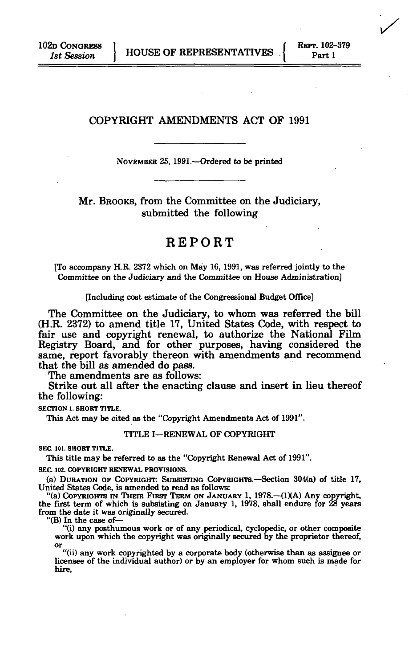# COPYRIGHT AMENDMENTS ACT OF 1991

NOVEMBER 25, 1991.—Ordered to be printed

Mr. BROOKS, from the Committee on the Judiciary, submitted the following

# REPORT

[To accompany H.R. 2372 which on May 16,1991, was referred jointly to the Committee on the Judiciary and the Committee on House Administration]

[Including cost estimate of the Congressional Budget Office]

The Committee on the Judiciary, to whom was referred the bill (H.R. 2372) to amend title 17, United States Code, with respect to fair use and copyright renewal, to authorize the National Film Registry Board, and for other purposes, having considered the same, report favorably thereon with amendments and recommend that the bill as amended do pass.

The amendments are as follows:

Strike out all after the enacting clause and insert in lieu thereof the following:

**SECTION 1. SHORT TITLE.** 

This Act may be cited as the "Copyright Amendments Act of 1991".

#### TITLE I—RENEWAL OF COPYRIGHT

**SEC. 101. SHORT TITLE.** 

This title may be referred to as the "Copyright Renewal Act of 1991".

**SEC. 102. COPYRIGHT RENEWAL PROVISIONS.** 

(a) DURATION OF COPYRIGHT: SUBSISTING COPYRIGHTS.—Section 304(a) of title 17, United States Code, is amended to read as follows:

"(a) COPYRIGHTS IN THEIR FIRST TERM ON JANUARY 1, 1978.—(1)(A) Any copyright, the first term of which is subsisting on January 1, 1978, shall endure for 28 years from the date it was originally secured.

"(B) In the case of— "(i) any posthumous work or of any periodical, cyclopedic, or other composite work upon which the copyright was originally secured by the proprietor thereof,

or<br>
"(ii) any work copyrighted by a corporate body (otherwise than as assignee or<br>
licensee of the individual author) or by an employer for whom such is made for hire,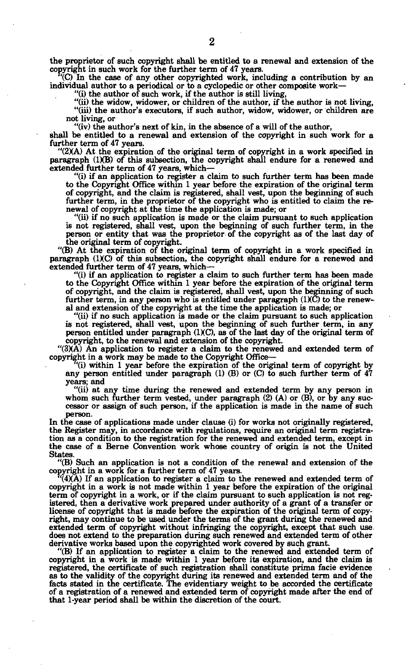**the proprietor of such copyright shall be entitled to a renewal and extension of the copyright in such work for the further term of 47 years.** 

**(C) In the case of any other copyrighted work, including a contribution by an individual author to a periodical or to a cyclopedic or other composite work—** 

**"(i) the author of such work, if the author is still living,** 

**"(ii) the widow, widower, or children of the author, if the author is not living, "(iii) the author's executors, if such author, widow, widower, or children are not living, or** 

**"(iv) the author's next of kin, in the absence of a will of the author,** 

**shall be entitled to a renewal and extension of the copyright in such work for a further term of 47 years.** 

**"(2XA) At the expiration of the original term of copyright in a work specified in paragraph (1XB) of this subsection, the copyright shall endure for a renewed and extended further term of 47 years, which—** 

**"(i) if an application to register a claim to such further term has been made to the Copyright Office within 1 year before the expiration of the original term of copyright, and the claim is registered, shall vest, upon the beginning of such further term, in the proprietor of the copyright who is entitled to claim the renewal of copyright at the time the application is made; or** 

**"(ii) if no such application is made or the claim pursuant to such application is not registered, shall vest, upon the beginning of such further term, in the person or entity that was the proprietor of the copyright as of the last day of the original term of copyright.** 

**"(B) At the expiration of the original term of copyright in a work specified in paragraph (IXC) of this subsection, the copyright shall endure for a renewed and extended further term of 47 years, which—** 

**"(i) if an application to register a claim to such further term has been made to the Copyright Office within 1 year before the expiration of the original term of copyright, and the claim is registered, shall vest, upon the beginning of such further term, in any person who is entitled under paragraph (IXC) to the renewal and extension of the copyright at the time the application is made; or** 

**"(ii) if no such application is made or the claim pursuant to such application is not registered, shall vest, upon the beginning of such further term, in any**  person entitled under paragraph (1)(C), as of the last day of the original term of **copyright, to the renewal and extension of the copyright.** 

**"(3XA) An application to register a claim to the renewed and extended term of copyright in a work may be made to the Copyright Office—** 

**(i) within 1 year before the expiration of the original term of copyright by any person entitled under paragraph (1) (B) or (C) to such further term of 47 years; and** 

**"(ii) at any time during the renewed and extended term by any person in whom such further term vested, under paragraph (2) (A) or (B), or by any successor or assign of such person, if the application is made in the name of such person.** 

**In the case of applications made under clause (i) for works not originally registered, the Register may, in accordance with regulations, require an original term registration as a condition to the registration for the renewed and extended term, except in the case of a Berne Convention work whose country of origin is not the United States.** 

**"(B) Such an application is not a condition of the renewal and extension of the** 

**copyright in a work for a further term of 47 years. (4XA) If an application to register a claim to the renewed and extended term of copyright in a work is not made within 1 year before the expiration of the original term of copyright in a work, or if the claim pursuant to such application is not registered, then a derivative work prepared under authority of a grant of a transfer or license of copyright that is made before the expiration of the original term of copyright, may continue to be used under the terms of the grant during the renewed and extended term of copyright without infringing the copyright, except that such use. does not extend to the preparation during such renewed and extended term of other derivative works based upon the copyrighted work covered by such grant.** 

**"(B) If an application to register a claim to the renewed and extended term of copyright in a work is made within 1 year before its expiration, and the claim is registered, the certificate of such registration shall constitute prima facie evidence as to the validity of the copyright during its renewed and extended term and of the facts stated in the certificate. The evidentiary weight to be accorded the certificate of a registration of a renewed and extended term of copyright made after the end of that 1-year period shall be within the discretion of the court.**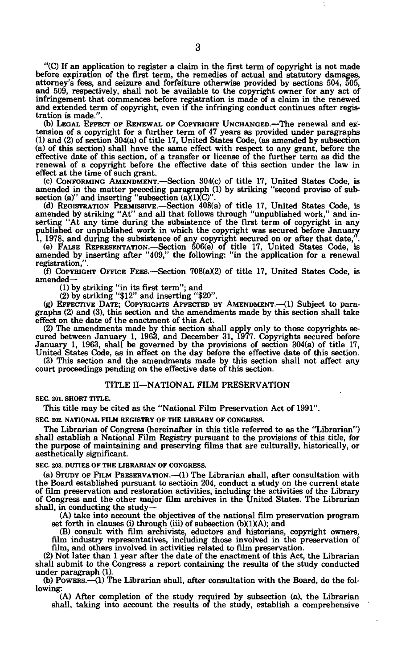"(C) If an application to register a claim in the first term of copyright is not made before expiration of the first term, the remedies of actual and statutory damages, attorney's fees, and seizure and forfeiture otherwise provided by sections 504, 505, and 509, respectively, shall not be available to the copyright owner for any act of infringement that commences before registration is made of a claim in the renewed and extended term of copyright, even if the infringing conduct continues after registration is made."

(b) LEGAL EFFECT OF RENEWAL OF COPYRIGHT UNCHANGED.—The renewal and extension of a copyright for a further term of 47 years as provided under paragraphs (1) and (2) of section 304(a) of title 17, United States Code, (as amended by subsection (a) of this section) shall have the same effect with respect to any grant, before the effective date of this section, of a transfer or license of the further term as did the renewal of a copyright before the effective date of this section under the law in effect at the time of such grant.

(c) CONFORMING AMENDMENT.—Section 304(c) of title 17, United States Code, is amended in the matter preceding paragraph (1) by striking "second proviso of subsection (a)" and inserting "subsection (a) $(1)(C)'$ .

(d) REGISTRATION PERMISSIVE.—Section 408(a) of title 17, United States Code, is amended by striking "At" and all that follows through "unpublished work," and inserting "At any time during the subsistence of the first term published or unpublished work in which the copyright was secured before January 1, 1978, and during the subsistence of any copyright secured on or after that date,".

(e) FALSE REPRESENTATION.—Section 506(e) of title 17, United States Code, is amended by inserting after "409," the following: "in the application for a renewal registration,".

(f) COPYRIGHT OFFICE FEES.—Section  $708(a)(2)$  of title 17, United States Code, is amended—

(1) by striking "in its first term"; and

(2) by striking "\$12" and inserting "\$20".

(g) EFFECTIVE DATE; COPYRIGHTS AFFECTED BY AMENDMENT.—(1) Subject to paragraphs (2) and (3), this section and the amendments made by this section shall take effect on the date of the enactment of this Act.

(2) The amendments made by this section shall apply only to those copyrights se-cured between January 1, 1963, and December 31, 1977. Copyrights secured before January 1, 1963, shall be governed by the provisions of section 304(a) of title 17, United States Code, as in effect on the day before the effective date of this section.

(3) This section and the amendments made by this section shall not affect any court proceedings pending on the effective date of this section.

#### TITLE II—NATIONAL FILM PRESERVATION

**SEC. 201. SHORT TITLE.** 

This title may be cited as the "National Film Preservation Act of 1991".

**SEC. 202. NATIONAL FILM REGISTRY OF THE LIBRARY OF CONGRESS.** 

The Librarian of Congress (hereinafter in this title referred to as the "Librarian") shall establish a National Film Registry pursuant to the provisions of this title, for the purpose of maintaining and preserving films that are culturally, historically, or aesthetically significant.

**SEC 203. DUTIES OF THE LIBRARIAN OF CONGRESS.** 

(a) STUDY OF FILM PRESERVATION.—(1) The Librarian shall, after consultation with the Board established pursuant to sectioin 204, conduct a study on the current state of film preservation and restoration activities, including the activities of the Library of Congress and the other major film archives in the United States. The Librarian shall, in conducting the study—

(A) take into account the objectives of the national film preservation program set forth in clauses (i) through (iii) of subsection  $(b)(1)(A)$ ; and

(B) consult with film archivists, eductors and historians, copyright owners, film industry representatives, including those involved in the preservation of film, and others involved in activities related to film preservation.

(2) Not later than 1 year after the date of the enactment of this Act, the Librarian shall submit to the Congress a report containing the results of the study conducted under paragraph (1).

(b) POWERS.—(1) The Librarian shall, after consultation with the Board, do the following:

(A) After completion of the study required by subsection (a), the Librarian shall, taking into account the results of the study, establish a comprehensive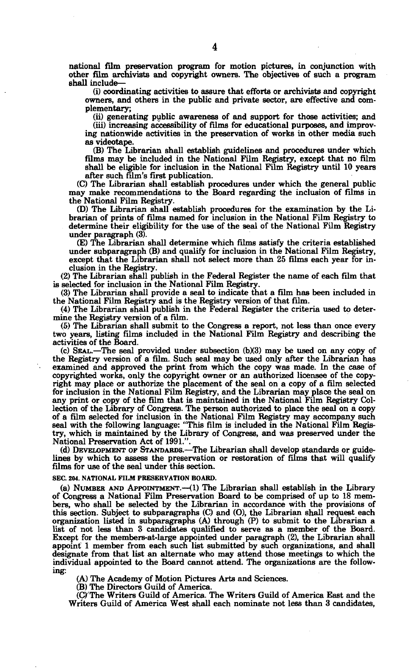**national film preservation program for motion pictures, in conjunction with other film archivists and copyright owners. The objectives of such a program shall include—** 

**(i) coordinating activities to assure that efforts or archivists and copyright owners, and others in the public and private sector, are effective and complementary;** 

**(ii) generating public awareness of and support for those activities; and** 

**(iii) increasing accessibility of films for educational purposes, and improving nationwide activities in the preservation of works in other media such as videotape.** 

**(B) The Librarian shall establish guidelines and procedures under which films may be included in the National Film Registry, except that no film shall be eligible for inclusion in the National Film Registry until 10 years after such film's first publication.** 

**(C) The Librarian shall establish procedures under which the general public may make recommendations to the Board regarding the inclusion of films in the National Film Registry.** 

**CD) The Librarian shall establish procedures for the examination by the Librarian of prints of films named for inclusion in the National Film Registry to determine their eligibility for the use of the seal of the National Film Registry under paragraph (3).** 

**(E) The Librarian shall determine which films satisfy the criteria established under subparagraph (B) and qualify for inclusion in the National Film Registry, except that the Librarian shall not select more than 25 films each year for inclusion in the Registry.** 

**(2) The Librarian shall publish in the Federal Register the name of each film that is selected for inclusion in the National Film Registry.** 

**(3) The Librarian shall provide a seal to indicate that a film has been included in the National Film Registry and is the Registry version of that film.** 

**(4) The Librarian shall publish in the Federal Register the criteria used to determine the Registry version of a film.** 

**(5) The Librarian shall submit to the Congress a report, not less than once every two years, listing films included in the National Film Registry and describing the activities of the Board.** 

(c) SEAL.-The seal provided under subsection (b)(3) may be used on any copy of **the Registry version of a film. Such seal may be used only after the Librarian has examined and approved the print from which the copy was made. In the case of copyrighted works, only the copyright owner or an authorized licensee of the copyright may place or authorize the placement of the seal on a copy of a film selected for inclusion in the National Film Registry, and the Librarian may place the seal on any print or copy of the film that is maintained in the National Film Registry Collection of the Library of Congress. The person authorized to place the seal on a copy of a film selected for inclusion in the National Film Registry may accompany such seal with the following language: "This film is included in the National Film Registry, which is maintained by the Library of Congress, and was preserved under the National Preservation Act of 1991.".** 

**(d) DEVELOPMENT OF STANDARDS.—The Librarian shall develop standards or guidelines by which to assess the preservation or restoration of films that will qualify films for use of the seal under this section.** 

#### **SEC. 204. NATIONAL FILM PRESERVATION BOARD.**

**(a) NUMBER AND APPOINTMENT.—(1) The Librarian shall establish in the Library of Congress a National Film Preservation Board to be comprised of up to 18 members, who shall be selected by the Librarian in accordance with the provisions of this section. Subject to subparagraphs (C) and (O), the Librarian shall request each organization listed in subparagraphs (A) through (P) to submit to the Librarian a list of not less than 3 candidates qualified to serve as a member of the Board. Except for the members-at-large appointed under paragraph (2), the Librarian shall appoint 1 member from each such list submitted by such organizations, and shall designate from that list an alternate who may attend those meetings to which the individual appointed to the Board cannot attend. The organizations are the following:** 

**(A) The Academy of Motion Pictures Arts and Sciences.** 

**(B) The Directors Guild of America.** 

**(C) The Writers Guild of America. The Writers Guild of America East and the Writers Guild of America West shall each nominate not less than 3 candidates,**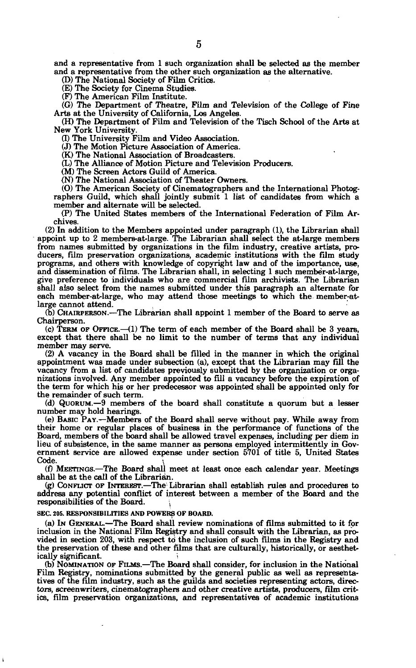and a representative from 1 such organization shall be selected as the member and a representative from the other such organization as the alternative.

(D) The National Society of Film Critics.

(E) The Society for Cinema Studies.

(F) The American Film Institute.

(G) The Department of Theatre, Film and Television of the College of Fine Arts at the University of California, Los Angeles.

(H) The Department of Film and Television of the Tisch School of the Arte at New York University.

(I) The University Film and Video Association.

(J) The Motion Picture Association of America.

(K) The National Association of Broadcasters.

(L) The Alliance of Motion Picture and Television Producers.

(M) The Screen Actors Guild of America.

(N) The National Association of Theater Owners.

(O) The American Society of Cinematographers and the International Photographers Guild, which shall jointly submit 1 list of candidates from which a member and alternate will be selected.

(P) The United States members of the International Federation of Film Archives.

(2) In addition to the Members appointed under paragraph (1), the Librarian shall appoint up to 2 members-at-large. The Librarian shall select the at-large members from names submitted by organizations in the film industry, creative artists, producers, film preservation organizations, academic institutions with the film study programs, and others with knowledge of copyright law and of the importance, use, and dissemination of films. The Librarian shall, in selecting 1 such member-at-large, give preference to individuals who are commercial film archivists. The Librarian shall also select from the names submitted under this paragraph an alternate for each member-at-large, who may attend those meetings to which the member-atlarge cannot attend.

(b) CHAIRPERSON.—The Librarian shall appoint 1 member of the Board to serve as Chairperson.

 $(c)$  TERM OF OFFICE. $-(1)$  The term of each member of the Board shall be 3 years, except that there shall be no limit to the number of terms that any individual member may serve.

(2) A vacancy in the Board shall be filled in the manner in which the original appointment was made under subsection (a), except that the Librarian may fill the vacancy from a list of candidates previously submitted by the organization or organizations involved. Any member appointed to fill a vacancy before the expiration of the term for which his or her predecessor was appointed shall be appointed only for the remainder of such term.

(d) QUORUM.—9 members of the board shall constitute a quorum but a lesser number may hold hearings.

(e) BASIC PAY.—Members of the Board shall serve without pay. While away from their home or regular places of business in the performance of functions of the Board, members of the board shall be allowed travel expenses, including per diem in lieu of subsistence, in the same manner as persons employed intermittently in Government service are allowed expense under section 5701 of title 5, United States Code. Code. *\* 

(f) MEETINGS.—The Board shall meet at least once each calendar year. Meetings shall be at the call of the Librarian.

(g) CONFLICT OF INTEREST.—The Librarian shall establish rules and procedures to address any potential conflict of interest between a member of the Board and the responsibilities of the Board. *\* 

**SEC. 205. RESPONSIBILITIES AND POWERS OF BOARD.** 

(a) IN GENERAL.—The Board shall review nominations of films submitted to it for inclusion in the National Film Registry and shall consult with the Librarian, as provided in section 203, with respect to the inclusion of such films in the Registry and the preservation of these and other films that are culturally, historically, or aesthetically significant.

(b) NOMINATION OF FILMS.—The Board shall consider, for inclusion in the National Film Registry, nominations submitted by the general public as well as representatives of the film industry, such as the guilds and societies representing actors, directors, screenwriters, cinematographers and other creative artists, producers, film critics, film preservation organizations, and representatives of academic institutions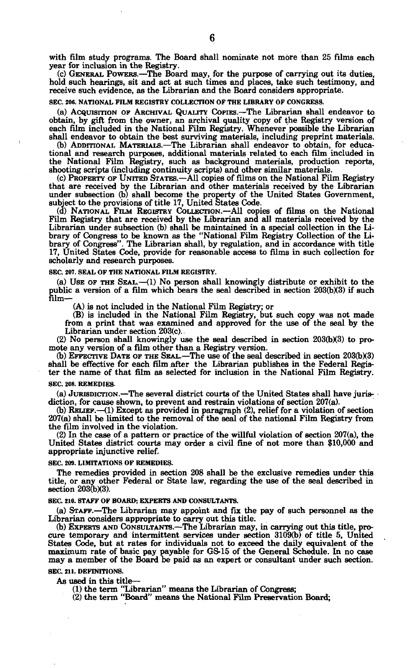with film study programs. The Board shall nominate not more than 25 films each year for inclusion in the Registry.

(c) GENERAL POWERS.—The Board may, for the purpose of carrying out its duties, hold such hearings, sit and act at such times and places, take such testimony, and receive such evidence, as the Librarian and the Board considers appropriate.

#### **SEC. 206. NATIONAL FILM REGISTRY COLLECTION OF THE LIBRARY OF CONGRESS.**

(a) ACQUISITION OF ARCHIVAL QUALITY COPIES.—The Librarian shall endeavor to obtain, by gift from the owner, an archival quality copy of the Registry version of each film included in the National Film Registry. Whenever possible the Librarian shall endeavor to obtain the best surviving materials, including preprint materials.

(b) ADDITIONAL MATERIALS.—The Librarian shall endeavor to obtain, for educational and research purposes, additional materials related to each film included in the National Film Registry, such as background materials, production reports, shooting scripts (including continuity scripts) and other similar materials.

(c) PROPERTY OF UNITED STATES.—All copies of films on the National Film Registry that are received by the Librarian and other materials received by the Librarian under subsection (b) shall become the property of the United States Government, subject to the provisions of title 17, United States Code.

(d) NATIONAL FILM REGISTRY COLLECTION.—All copies of films on the National Film Registry that are received by the Librarian and all materials received by the Librarian under subsection (b) shall be maintained in a special collection in the Library of Congress to be known as the "National Film Registry Collection of the Library of Congress". The Librarian shall, by regulation, a scholarly and research purposes.

#### **SEC. 207. SEAL OF THE NATIONAL FILM REGISTRY.**

(a) USE OF THE SEAL.—(1) No person shall knowingly distribute or exhibit to the public a version of a film which bears the seal described in section 203(b)(3) if such film—

(A) is not included in the National Film Registry; or

(B) is included in the National Film Registry, but such copy was not made from a print that was examined and approved for the use of the seal by the Librarian under section 203(c)..

 $(2)$  No person shall knowingly use the seal described in section  $203(b)(3)$  to promote any version of a film other than a Registry version.

 $(b)$  EFFECTIVE DATE OF THE SEAL.—The use of the seal described in section 203 $(b)$ (3) shall be effective for each film after the Librarian publishes in the Federal Register the name of that film as selected for inclusion in the National Film Registry.

#### **SEC. 208. REMEDIES.**

(a) JURISDICTION.—The several district courts of the United States shall have jurisdiction, for cause shown, to prevent and restrain violations of section 207(a).

(b) RELIEF.—(1) Except as provided in paragraph (2), relief for a violation of section 207(a) shall be limited to the removal of the seal of the national Film Registry from the film involved in the violation.

(2) In the case of a pattern or practice of the willful violation of section 207(a), the United States district courts may order a civil fine of not more than \$10,000 and appropriate injunctive relief.

#### **SEC. 209. LIMITATIONS OF REMEDIES.**

The remedies provided in section 208 shall be the exclusive remedies under this title, or any other Federal or State law, regarding the use of the seal described in section  $203(b)(3)$ .

#### **SEC. 210. STAFF OF BOARD; EXPERTS AND CONSULTANTS.**

(a) STAFF.—The Librarian may appoint and fix the pay of such personnel as the Librarian considers appropriate to carry out this title.

(b) EXPERTS AND CONSULTANTS.—The Librarian may, in carrying out this title, procure temporary and intermittent services under section 3109(b) of title 5, United States Code, but at rates for individuals not to exceed the daily equivalent of the maximum rate of basic pay payable for GS-15 of the General Schedule. In no case may a member of the Board be paid as an expert or consulta

## **SEC. 211. DEFINITIONS.**

As used in this title—

(1) the term "Librarian" means the Librarian of Congress; (2) the term "Board" means the National Film Preservation Board;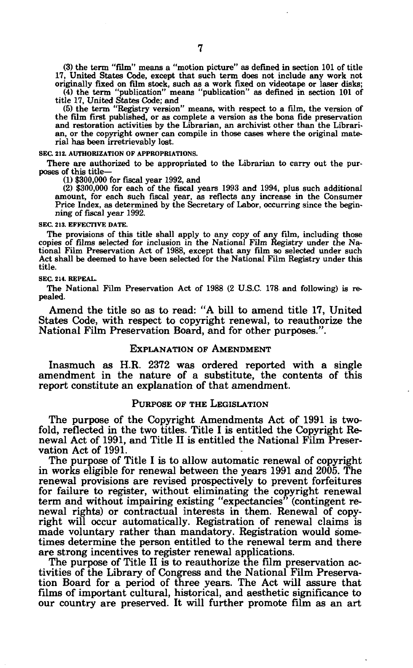(3) the term "film" means a "motion picture" as defined in section 101 of title 17, United States Code, except that such term does not include any work not originally fixed on film stock, such as a work fixed on videotape or laser disks;

(4) the term "publication" means "publication" as defined in section 101 of title 17, United States Code; and

(5) the term "Registry version" means, with respect to a film, the version of the film first published, or as complete a version as the bona fide preservation and restoration activities by the Librarian, an archivist other than the Librarian, or the copyright owner can compile in those cases where the original material has been irretrievably lost.

**SEC. 212. AUTHORIZATION OP APPROPRIATIONS.** 

There are authorized to be appropriated to the Librarian to carry out the purposes of this title—

(1) \$300,000 for fiscal year 1992, and

(2) \$300,000 for each of the fiscal years 1993 and 1994, plus such additional amount, for each such fiscal year, as reflects any increase in the Consumer Price Index, as determined by the Secretary of Labor, occurring since the beginning of fiscal year 1992.

#### **SEC. 213. EFFECTIVE DATE.**

The provisions of this title shall apply to any copy of any film, including those copies of films selected for inclusion in the National Film Registry under the National Film Preservation Act of 1988, except that any film so selected under such Act shall be deemed to have been selected for the National Film Registry under this title.

#### **SEC. 214. REPEAL.**

The National Film Preservation Act of 1988 (2 U.S.C. 178 and following) is repealed.

Amend the title so as to read: "A bill to amend title 17, United States Code, with respect to copyright renewal, to reauthorize the National Film Preservation Board, and for other purposes.".

## EXPLANATION OF AMENDMENT

Inasmuch as H.R. 2372 was ordered reported with a single amendment in the nature of a substitute, the contents of this report constitute an explanation of that amendment.

#### PURPOSE OF THE LEGISLATION

The purpose of the Copyright Amendments Act of 1991 is twofold, reflected in the two titles. Title I is entitled the Copyright Renewal Act of 1991, and Title II is entitled the National Film Preservation Act of 1991.

The purpose of Title I is to allow automatic renewal of copyright in works eligible for renewal between the years 1991 and 2005. The renewal provisions are revised prospectively to prevent forfeitures for failure to register, without eliminating the copyright renewal term and without impairing existing "expectancies" (contingent renewal rights) or contractual interests in them. Renewal of copyright will occur automatically. Registration of renewal claims is made voluntary rather than mandatory. Registration would sometimes determine the person entitled to the renewal term and there are strong incentives to register renewal applications.

The purpose of Title II is to reauthorize the film preservation activities of the Library of Congress and the National Film Preservation Board for a period of three years. The Act will assure that films of important cultural, historical, and aesthetic significance to our country are preserved. It will further promote film as an art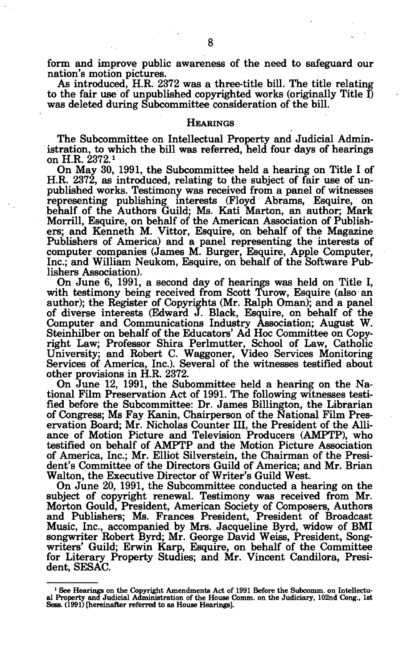form and improve public awareness of the need to safeguard our nation's motion pictures.

As introduced, H.R. 2372 was a three-title bill. The title relating to the fair use of unpublished copyrighted works (originally Title I) was deleted during Subcommittee consideration of the bill.

#### **HEARINGS**

The Subcommittee on Intellectual Property and Judicial Administration, to which the bill was referred, held four days of hearings on H.R. 2372.»

On May 30, 1991, the Subcommittee held a hearing on Title I of H.R. 2372, as introduced, relating to the subject of fair use of unpublished works. Testimony was received from a panel of witnesses representing publishing interests (Floyd Abrams, Esquire, on behalf of the Authors Guild; Ms. Kati Marton, an author; Mark Morrill, Esquire, on behalf of the American Association of Publishers; and Kenneth M. Vittor, Esquire, on behalf of the Magazine Publishers of America) and a panel representing the interests of computer companies (James M. Burger, Esquire, Apple Computer, Inc.; and William Neukom, Esquire, on behalf of the Software Publishers Association).

On June 6, 1991, a second day of hearings was held on Title I, with testimony being received from Scott Turow, Esquire (also an author); the Register of Copyrights (Mr. Ralph Oman); and a panel of diverse interests (Edward J. Black, Esquire, on behalf of the Computer and Communications Industry Association; August W. Steinhilber on behalf of the Educators' Ad Hoc Committee on Copyright Law; Professor Shira Perlmutter, School of Law, Catholic University; and Robert C. Waggoner, Video Services Monitoring Services of America, Inc.). Several of the witnesses testified about other provisions in H.R. 2372.

On June 12, 1991, the Subommittee held a hearing on the National Film Preservation Act of 1991. The following witnesses testified before the Subcommittee: Dr. James Billington, the Librarian of Congress; Ms Fay Kanin, Chairperson of the National Film Preservation Board; Mr. Nicholas Counter III, the President of the Alliance of Motion Picture and Television Producers (AMPTP), who testified on behalf of AMPTP and the Motion Picture Association of America, Inc.; Mr. Elliot Silverstein, the Chairman of the President's Committee of the Directors Guild of America; and Mr. Brian Walton, the Executive Director of Writer's Guild West.

On June 20, 1991, the Subcommittee conducted a hearing on the subject of copyright renewal. Testimony was received from Mr. Morton Gould, President, American Society of Composers, Authors and Publishers; Ms. Frances President, President of Broadcast Music, Inc., accompanied by Mrs. Jacqueline Byrd, widow of BMI songwriter Robert Byrd; Mr. George David Weiss, President, Songwriters' Guild; Erwin Karp, Esquire, on behalf of the Committee for Literary Property Studies; and Mr. Vincent Candilora, President, SESAC.

<sup>&</sup>lt;sup>1</sup> See Hearings on the Copyright Amendments Act of 1991 Before the Subcomm. on Intellectual Property and Judicial Administration of the House Comm. on the Judiciary, 102nd Cong., 1st Sess. (1991) [hereinafter referred to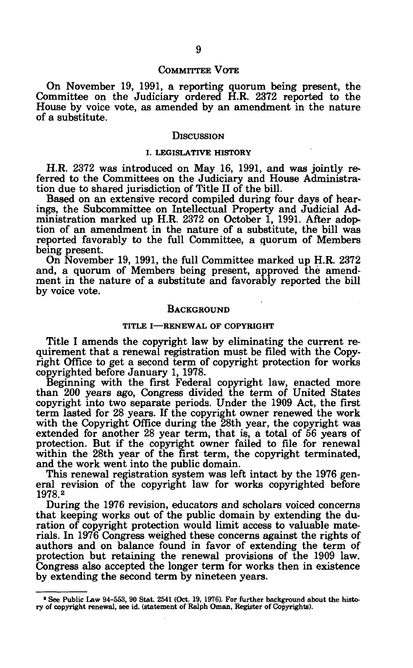#### COMMITTEE VOTE

On November 19, 1991, a reporting quorum being present, the Committee on the Judiciary ordered H.R. 2372 reported to the House by voice vote, as amended by an amendment in the nature of a substitute.

#### **DISCUSSION**

#### I. LEGISLATIVE HISTORY

H.R. 2372 was introduced on May 16, 1991, and was jointly referred to the Committees on the Judiciary and House Administration due to shared jurisdiction of Title II of the bill.

Based on an extensive record compiled during four days of hearings, the Subcommittee on Intellectual Property and Judicial Administration marked up H.R. 2372 on October 1, 1991. After adoption of an amendment in the nature of a substitute, the bill was reported favorably to the full Committee, a quorum of Members being present.

On November 19, 1991, the full Committee marked up H.R. 2372 and, a quorum of Members being present, approved the amendment in the nature of a substitute and favorably reported the bill by voice vote.

#### BACKGROUND

#### TITLE I—RENEWAL OF COPYRIGHT

Title I amends the copyright law by eliminating the current requirement that a renewal registration must be filed with the Copyright Office to get a second term of copyright protection for works copyrighted before January 1, 1978.

Beginning with the first Federal copyright law, enacted more than 200 years ago, Congress divided the term of United States copyright into two separate periods. Under the 1909 Act, the first term lasted for 28 years. If the copyright owner renewed the work with the Copyright Office during the 28th year, the copyright was extended for another 28 year term, that is, a total of 56 years of protection. But if the copyright owner failed to file for renewal within the 28th year of the first term, the copyright terminated, and the work went into the public domain.

This renewal registration system was left intact by the 1976 general revision of the copyright law for works copyrighted before 1978.<sup>2</sup>

During the 1976 revision, educators and scholars voiced concerns that keeping works out of the public domain by extending the duration of copyright protection would limit access to valuable materials. In 1976 Congress weighed these concerns against the rights of authors and on balance found in favor of extending the term of protection but retaining the renewal provisions of the 1909 law. Congress also accepted the longer term for works then in existence by extending the second term by nineteen years.

<sup>&</sup>lt;sup>2</sup> See Public Law 94-553, 90 Stat. 2541 (Oct. 19, 1976). For further background about the histo**ry of copyright renewal, see id. (statement of Ralph Oman, Register of Copyrights).**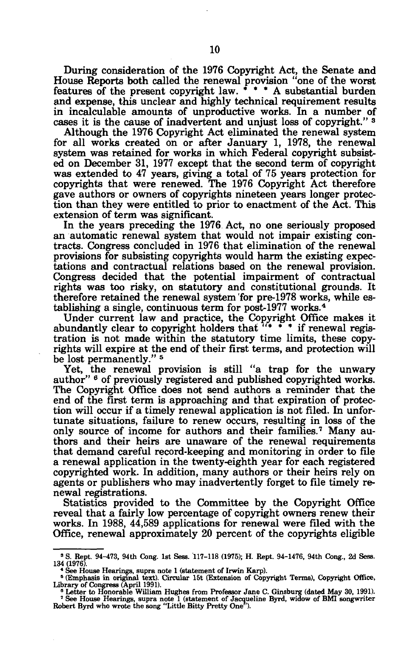During consideration of the 1976 Copyright Act, the Senate and House Reports both called the renewal provision "one of the worst features of the present copyright law. \* \* \* A substantial burden and expense, this unclear and highly technical requirement results in incalculable amounts of unproductive works. In a number of cases it is the cause of inadvertent and unjust loss of copyright."<sup>3</sup>

Although the 1976 Copyright Act eliminated the renewal system for all works created on or after January 1, 1978, the renewal system was retained for works in which Federal copyright subsisted on December 31, 1977 except that the second term of copyright was extended to 47 years, giving a total of 75 years protection for copyrights that were renewed. The 1976 Copyright Act therefore gave authors or owners of copyrights nineteen years longer protection than they were entitled to prior to enactment of the Act. This extension of term was significant.

In the years preceding the 1976 Act, no one seriously proposed an automatic renewal system that would not impair existing contracts. Congress concluded in 1976 that elimination of the renewal provisions for subsisting copyrights would harm the existing expectations and contractual relations based on the renewal provision. Congress decided that the potential impairment of contractual rights was too risky, on statutory and constitutional grounds. It therefore retained the renewal system for pre-1978 works, while establishing a single, continuous term for post-1977 works.<sup>4</sup>

Under current law and practice, the Copyright Office makes it abundantly clear to copyright holders that "\* \* \* if renewal registration is not made within the statutory time limits, these copyrights will expire at the end of their first terms, and protection will be lost permanently."<sup>5</sup>

Yet, the renewal provision is still "a trap for the unwary author" <sup>6</sup> of previously registered and published copyrighted works. The Copyright Office does not send authors a reminder that the end of the first term is approaching and that expiration of protection will occur if a timely renewal application is not filed. In unfortunate situations, failure to renew occurs, resulting in loss of the only source of income for authors and their families.<sup>7</sup> Many authors and their heirs are unaware of the renewal requirements that demand careful record-keeping and monitoring in order to file a renewal application in the twenty-eighth year for each registered copyrighted work. In addition, many authors or their heirs rely on agents or publishers who may inadvertently forget to file timely renewal registrations.

Statistics provided to the Committee by the Copyright Office reveal that a fairly low percentage of copyright owners renew their works. In 1988, 44,589 applications for renewal were filed with the Office, renewal approximately 20 percent of the copyrights eligible

**<sup>»</sup> S. Rept. 94-473, 94th Cong. 1st Seas. 117-118 (1975); H. Rept. 94-1476, 94th Cong., 2d Sess.** 

<sup>134 (1976).&</sup>lt;br>
• See House Hearings, supra note 1 (statement of Irwin Karp).<br>
• Comphasis in original text). Circular 15t (Extension of Copyright Terms), Copyright Office,<br>
Library of Congress (April 1991).<br>
• Letter to Hono

**See House Hearings, supra note 1 (statement of Jacqueline Byrd, widow of BMI songwriter Robert Byrd who wrote the song "Little Bitty Pretty One ).**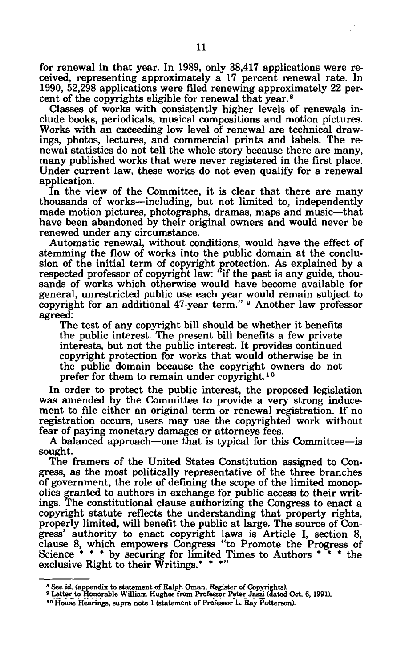for renewal in that year. In 1989, only 38,417 applications were received, representing approximately a 17 percent renewal rate. In 1990, 52,298 applications were filed renewing approximately 22 percent of the copyrights eligible for renewal that year.<sup>8</sup>

Classes of works with consistently higher levels of renewals include books, periodicals, musical compositions and motion pictures. Works with an exceeding low level of renewal are technical drawings, photos, lectures, and commercial prints and labels. The renewal statistics do not tell the whole story because there are many, many published works that were never registered in the first place. Under current law, these works do not even qualify for a renewal application.

In the view of the Committee, it is clear that there are many thousands of works—including, but not limited to, independently made motion pictures, photographs, dramas, maps and music—that have been abandoned by their original owners and would never be renewed under any circumstance.

Automatic renewal, without conditions, would have the effect of stemming the flow of works into the public domain at the conclusion of the initial term of copyright protection. As explained by a respected professor of copyright law: "if the past is any guide, thousands of works which otherwise would have become available for general, unrestricted public use each year would remain subject to copyright for an additional 47-year term." <sup>9</sup> Another law professor agreed:

The test of any copyright bill should be whether it benefits the public interest. The present bill benefits a few private interests, but not the public interest. It provides continued copyright protection for works that would otherwise be in the public domain because the copyright owners do not prefer for them to remain under copyright.<sup>10</sup>

In order to protect the public interest, the proposed legislation was amended by the Committee to provide a very strong inducement to file either an original term or renewal registration. If no registration occurs, users may use the copyrighted work without fear of paying monetary damages or attorneys fees.

A balanced approach—one that is typical for this Committee—is sought.

The framers of the United States Constitution assigned to Congress, as the most politically representative of the three branches of government, the role of defining the scope of the limited monopolies granted to authors in exchange for public access to their writings. The constitutional clause authorizing the Congress to enact a copyright statute reflects the understanding that property rights, properly limited, will benefit the public at large. The source of Congress' authority to enact copyright laws is Article I, section 8, clause 8, which empowers Congress "to Promote the Progress of Science \* \* \* by securing for limited Times to Authors \* \* \* the exclusive Right to their Writings.\* \* \*"

**<sup>8</sup> See id. (appendix to statement of Ralph Oman, Register of Copyrights).** 

<sup>&</sup>lt;sup>9</sup> Letter to Honorable William Hughes from Professor Peter Jaszi (dated Oct. 6, 1991).

**<sup>10</sup> House Hearings, supra note 1 (statement of Professor L. Ray Patterson).**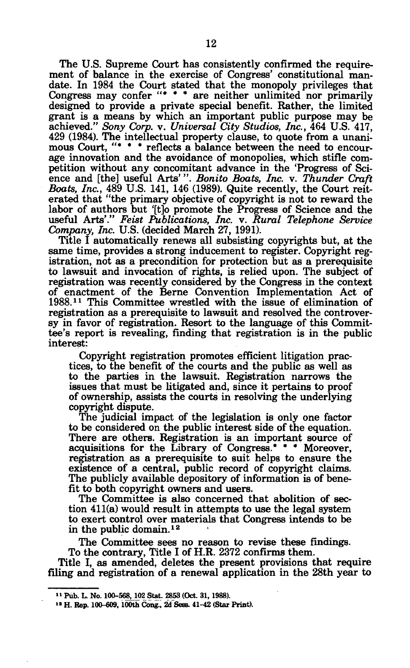The U.S. Supreme Court has consistently confirmed the requirement of balance in the exercise of Congress' constitutional mandate. In 1984 the Court stated that the monopoly privileges that Congress may confer "\* \* \* are neither unlimited nor primarily designed to provide a private special benefit. Rather, the limited grant is a means by which an important public purpose may be achieved." *Sony Corp.* v. *Universal City Studios, Inc.,* 464 U.S. 417, 429 (1984). The intellectual property clause, to quote from a unanimous Court. "\* \* \* reflects a balance between the need to encourage innovation and the avoidance of monopolies, which stifle competition without any concomitant advance in the 'Progress of Science and [the] useful Arts'". *Bonito Boats, Inc.* v. *Thunder Craft Boats, Inc.,* 489 U.S. 141, 146 (1989). Quite recently, the Court reiterated that "the primary objective of copyright is not to reward the labor of authors but '[t]o promote the Progress of Science and the useful Arts'." *Feist Publications, Inc.* v. *Rural Telephone Service Company, Inc.* U.S. (decided March 27, 1991).

Title I automatically renews all subsisting copyrights but, at the same time, provides a strong inducement to register. Copyright registration, not as a precondition for protection but as a prerequisite to lawsuit and invocation of rights, is relied upon. The subject of registration was recently considered by the Congress in the context of enactment of the Berne Convention Implementation Act of 1988.<sup>11</sup> This Committee wrestled with the issue of elimination of registration as a prerequisite to lawsuit and resolved the controversy in favor of registration. Resort to the language of this Committee's report is revealing, finding that registration is in the public interest:

Copyright registration promotes efficient litigation practices, to the benefit of the courts and the public as well as to the parties in the lawsuit. Registration narrows the issues that must be litigated and, since it pertains to proof of ownership, assists the courts in resolving the underlying copyright dispute.

The judicial impact of the legislation is only one factor to be considered on the public interest side of the equation. There are others. Registration is an important source of acquisitions for the Library of Congress.\* \* \* Moreover, registration as a prerequisite to suit helps to ensure the existence of a central, public record of copyright claims. The publicly available depository of information is of benefit to both copyright owners and users.

The Committee is also concerned that abolition of section 411(a) would result in attempts to use the legal system to exert control over materials that Congress intends to be in the public domain.<sup>12</sup>

The Committee sees no reason to revise these findings. To the contrary, Title I of H.R. 2372 confirms them.

Title I, as amended, deletes the present provisions that require filing and registration of a renewal application in the 28th year to

**<sup>11</sup> Pub. L. No. 100-568,102 Stat. 2853 (Oct. 81,1988).** 

<sup>&</sup>lt;sup>12</sup> H. Rep. 100-609, 100th Cong., 2d Sess. 41-42 (Star Print).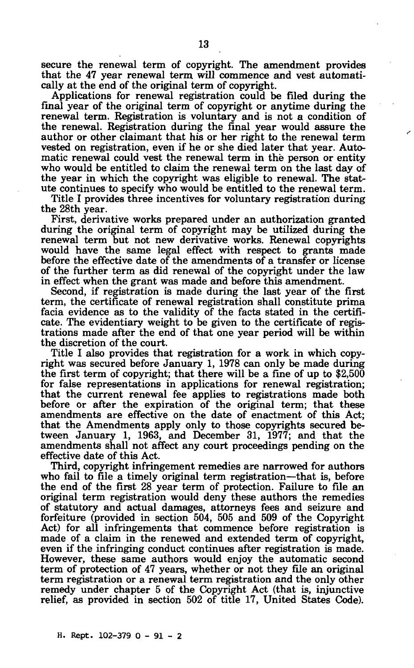secure the renewal term of copyright. The amendment provides that the 47 year renewal term will commence and vest automatically at the end of the original term of copyright.

Applications for renewal registration could be filed during the final year of the original term of copyright or anytime during the renewal term. Registration is voluntary and is not a condition of the renewal. Registration during the final year would assure the author or other claimant that his or her right to the renewal term vested on registration, even if he or she died later that year. Automatic renewal could vest the renewal term in the person or entity who would be entitled to claim the renewal term on the last day of the year in which the copyright was eligible to renewal. The statute continues to specify who would be entitled to the renewal term.

Title I provides three incentives for voluntary registration during the 28th year.

First, derivative works prepared under an authorization granted during the original term of copyright may be utilized during the renewal term but not new derivative works. Renewal copyrights would have the same legal effect with respect to grants made before the effective date of the amendments of a transfer or license of the further term as did renewal of the copyright under the law in effect when the grant was made and before this amendment.

Second, if registration is made during the last year of the first term, the certificate of renewal registration shall constitute prima facia evidence as to the validity of the facts stated in the certificate. The evidentiary weight to be given to the certificate of registrations made after the end of that one year period will be within the discretion of the court.

Title I also provides that registration for a work in which copyright was secured before January 1, 1978 can only be made during the first term of copyright; that there will be a fine of up to  $$2,500$ for false representations in applications for renewal registration; that the current renewal fee applies to registrations made both before or after the expiration of the original term; that these amendments are effective on the date of enactment of this Act; that the Amendments apply only to those copyrights secured between January 1, 1963, and December 31, 1977; and that the amendments shall not affect any court proceedings pending on the effective date of this Act.

Third, copyright infringement remedies are narrowed for authors who fail to file a timely original term registration—that is, before the end of the first 28 year term of protection. Failure to file an original term registration would deny these authors the remedies of statutory and actual damages, attorneys fees and seizure and forfeiture (provided in section 504, 505 and 509 of the Copyright Act) for all infringements that commence before registration is made of a claim in the renewed and extended term of copyright, even if the infringing conduct continues after registration is made. However, these same authors would enjoy the automatic second term of protection of 47 years, whether or not they file an original term registration or a renewal term registration and the only other remedy under chapter 5 of the Copyright Act (that is, injunctive relief, as provided in section 502 of title 17, United States Code).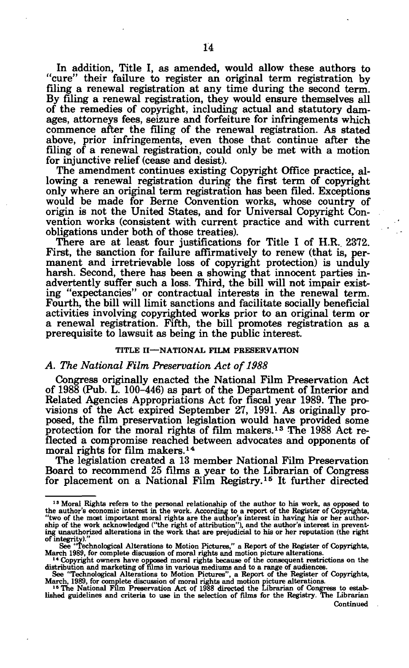In addition, Title I, as amended, would allow these authors to "cure" their failure to register an original term registration by filing a renewal registration at any time during the second term. By filing a renewal registration, they would ensure themselves all of the remedies of copyright, including actual and statutory damages, attorneys fees, seizure and forfeiture for infringements which commence after the filing of the renewal registration. As stated above, prior infringements, even those that continue after the filing of a renewal registration, could only be met with a motion for injunctive relief (cease and desist).

The amendment continues existing Copyright Office practice, allowing a renewal registration during the first term of copyright only where an original term registration has been filed. Exceptions would be made for Berne Convention works, whose country of origin is not the United States, and for Universal Copyright Convention works (consistent with current practice and with current obligations under both of those treaties).

There are at least four justifications for Title I of H.R.. 2372. First, the sanction for failure affirmatively to renew (that is, permanent and irretrievable loss of copyright protection) is unduly harsh. Second, there has been a showing that innocent parties inadvertently suffer such a loss. Third, the bill will not impair existing "expectancies" or contractual interests in the renewal term. Fourth, the bill will limit sanctions and facilitate socially beneficial activities involving copyrighted works prior to an original term or a renewal registration. Fifth, the bill promotes registration as a prerequisite to lawsuit as being in the public interest.

#### **TITLE II**—**NATIONAL FILM PRESERVATION**

## *A. The National Film Preservation Act of 1988*

Congress originally enacted the National Film Preservation Act of 1988 (Pub. L. 100-446) as part of the Department of Interior and Related Agencies Appropriations Act for fiscal year 1989. The provisions of the Act expired September 27, 1991. As originally proposed, the film preservation legislation would have provided some protection for the moral rights of film makers.<sup>13</sup> The 1988 Act reflected a compromise reached between advocates and opponents of moral rights for film makers.<sup>14</sup>

The legislation created a 13 member National Film Preservation Board to recommend 25 films a year to the Librarian of Congress for placement on a National Film Registry.<sup>15</sup> It further directed

<sup>&</sup>lt;sup>13</sup> Moral Rights refers to the personal relationship of the author to his work, as opposed to the author's economic interest in the work. According to a report of the Register of Copyrights, "two of the most important mo of integrity)."

See "Technological Alterations to Motion Pictures," a Report of the Register of Copyrights,

March 1989, for complete discussion of moral rights and motion picture alterations.<br>
<sup>14</sup> Copyright owners have opposed moral rights because of the consequent restrictions on the distribution and marketing of films in var

Continued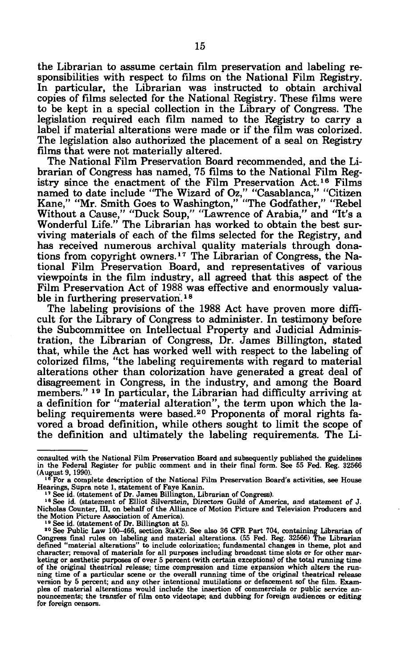the Librarian to assume certain film preservation and labeling responsibilities with respect to films on the National Film Registry. In particular, the Librarian was instructed to obtain archival copies of films selected for the National Registry. These films were to be kept in a special collection in the Library of Congress. The legislation required each film named to the Registry to carry a label if material alterations were made or if the film was colorized. The legislation also authorized the placement of a seal on Registry films that were not materially altered.

The National Film Preservation Board recommended, and the Librarian of Congress has named, 75 films to the National Film Registry since the enactment of the Film Preservation Act.<sup>16</sup> Films named to date include "The Wizard of Oz," "Casablanca," "Citizen Kane," "Mr. Smith Goes to Washington," "The Godfather," "Rebel Without a Cause," "Duck Soup," "Lawrence of Arabia," and "It's a Wonderful Life." The Librarian has worked to obtain the best surviving materials of each of the films selected for the Registry, and has received numerous archival quality materials through donations from copyright owners.<sup>17</sup> The Librarian of Congress, the National Film Preservation Board, and representatives of various viewpoints in the film industry, all agreed that this aspect of the Film Preservation Act of 1988 was effective and enormously valuable in furthering preservation.<sup>18</sup>

The labeling provisions of the 1988 Act have proven more difficult for the Library of Congress to administer. In testimony before the Subcommittee on Intellectual Property and Judicial Administration, the Librarian of Congress, Dr. James Billington, stated that, while the Act has worked well with respect to the labeling of colorized films, "the labeling requirements with regard to material alterations other than colorization have generated a great deal of disagreement in Congress, in the industry, and among the Board members."<sup>19</sup> In particular, the Librarian had difficulty arriving at a definition for "material alteration", the term upon which the labeling requirements were based.<sup>20</sup> Proponents of moral rights favored a broad definition, while others sought to limit the scope of the definition and ultimately the labeling requirements. The Li-

**consulted with the National Film Preservation Board and subsequently published the guidelines in the Federal Register for public comment and in their final form. See 55 Fed. Reg. 32566 (August 9, 1990).** 

<sup>&</sup>lt;sup>16</sup> For a complete description of the National Film Preservation Board's activities, see House **Hearings, Supra note 1, statement of Faye Kanin.** 

<sup>&</sup>lt;sup>17</sup> See id. (statement of Dr. James Billington, Librarian of Congress).

<sup>&</sup>lt;sup>18</sup> See id. (statement of Elliot Silverstein, Directors Guild of America, and statement of J. **Nicholas Counter, HI, on behalf of the Alliance of Motion Picture and Television Producers and the Motion Picture Association of America).** 

**<sup>10</sup> See id. (statement of Dr. Billington at 5).** 

<sup>&</sup>lt;sup>30</sup> See Public Law 100-466, section  $3(a)(2)$ . See also 36 CFR Part 704, containing Librarian of Congress final rules on labeling and material alterations. (55 Fed. Reg. 32566) The Librarian defined "material alterations" **character; removal of materials for all purposes including broadcast time slots or for other marketing or aesthetic purposes of over 5 percent (with certain exceptions) of the total running time of the original theatrical release; time compression and time expansion which alters the run-ning time of a particular scene or the overall running time of the original theatrical release version by 5 percent; and any other intentional mutilations or defacement sof the film. Examples of material alterations would include the insertion of commercials or public service an-nouncements; the transfer of film onto videotape; and dubbing for foreign audiences or editing for foreign censors.**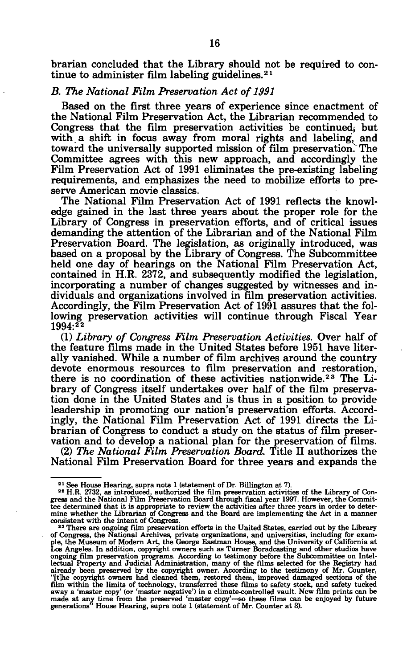brarian concluded that the Library should not be required to continue to administer film labeling guidelines.<sup>21</sup>

#### *B. The National Film Preservation Act of 1991*

Based on the first three years of experience since enactment of the National Film Preservation Act, the Librarian recommended to Congress that the film preservation activities be continued; but with a shift in focus away from moral rights and labeling, and toward the universally supported mission of film preservation. The Committee agrees with this new approach, and accordingly the Film Preservation Act of 1991 eliminates the pre-existing labeling requirements, and emphasizes the need to mobilize efforts to preserve American movie classics.

The National Film Preservation Act of 1991 reflects the knowledge gained in the last three years about the proper role for the Library of Congress in preservation efforts, and of critical issues demanding the attention of the Librarian and of the National Film Preservation Board. The legislation, as originally introduced, was based on a proposal by the Library of Congress. The Subcommittee held one day of hearings on the National Film Preservation Act, contained in H.R. 2372, and subsequently modified the legislation, incorporating a number of changes suggested by witnesses and individuals and organizations involved in film preservation activities. Accordingly, the Film Preservation Act of 1991 assures that the following preservation activities will continue through Fiscal Year 1994:<sup>22</sup>

(1) *Library of Congress Film Preservation Activities.* Over half of the feature films made in the United States before 1951 have literally vanished. While a number of film archives around the country devote enormous resources to film preservation and restoration, there is no coordination of these activities nationwide.<sup>23</sup> The Library of Congress itself undertakes over half of the film preservation done in the United States and is thus in a position to provide leadership in promoting our nation's preservation efforts. Accordingly, the National Film Preservation Act of 1991 directs the Librarian of Congress to conduct a study on the status of film preservation and to develop a national plan for the preservation of films.

(2) *The National Film Preservation Board.* Title II authorizes the National Film Preservation Board for three years and expands the

<sup>&</sup>lt;sup>21</sup> See House Hearing, supra note 1 (statement of Dr. Billington at 7).

<sup>&</sup>lt;sup>23</sup> H.R. 2732, as introduced, authorized the film preservation activities of the Library of Congress and the National Film Preservation Board through fiscal year 1997. However, the Committee determined that it is appropri

<sup>&</sup>lt;sup>23</sup> There are ongoing film preservation efforts in the United States, carried out by the Library<br>of Congress, the National Archives, private organizations, and universities, including for exam-<br>ple, the Museum of Modern A already been preserved by the copyright owner. According to the testimony of Mr. Counter, "[the copyright owners had cleaned them, restored them, improved damaged sections of the film within the limits of technology, trans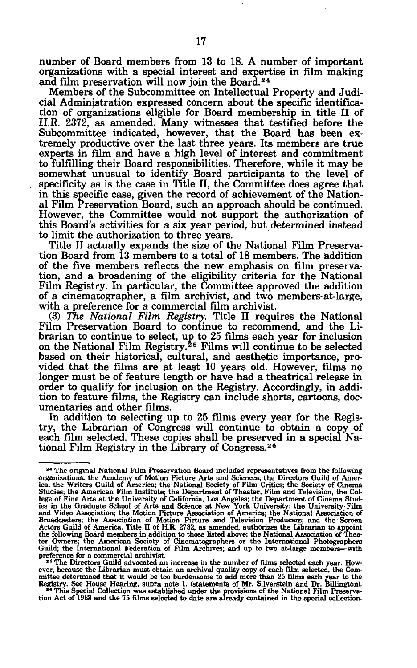number of Board members from 13 to 18. A number of important organizations with a special interest and expertise in film making and film preservation will now join the Board.<sup>24</sup>

Members of the Subcommittee on Intellectual Property and Judicial Administration expressed concern about the specific identification of organizations eligible for Board membership in title II of H.R. 2372, as amended. Many witnesses that testified before the Subcommittee indicated, however, that the Board has been extremely productive over the last three years. Its members are true experts in film and have a high level of interest and commitment to fulfilling their Board responsibilities. Therefore, while it may be somewhat unusual to identify Board participants to the level of specificity as is the case in Title II, the Committee does agree that in this specific case, given the record of achievement of the National Film Preservation Board, such an approach should be continued. However, the Committee would not support the authorization of this Board's activities for a six year period, but determined instead to limit the authorization to three years.

Title II actually expands the size of the National Film Preservation Board from 13 members to a total of 18 members. The addition of the five members reflects the new emphasis on film preservation, and a broadening of the eligibility criteria for the National Film Registry. In particular, the Committee approved the addition of a cinematographer, a film archivist, and two members-at-large, with a preference for a commercial film archivist.

(3) *The National Film Registry.* Title II requires the National Film Preservation Board to continue to recommend, and the Librarian to continue to select, up to 25 films each year for inclusion on the National Film Registry.<sup>25</sup> Films will continue to be selected based on their historical, cultural, and aesthetic importance, provided that the films are at least 10 years old. However, films no longer must be of feature length or have had a theatrical release in order to qualify for inclusion on the Registry. Accordingly, in addition to feature films, the Registry can include shorts, cartoons, documentaries and other films.

In addition to selecting up to 25 films every year for the Registry, the Librarian of Congress will continue to obtain a copy of each film selected. These copies shall be preserved in a special National Film Registry in the Library of Congress.<sup>26</sup>

<sup>&</sup>lt;sup>24</sup> The original National Film Preservation Board included representatives from the following <sup>24</sup> The original National Film Preservation Board included representatives from the following organizations: the Academy of Motion Picture Arts and Sciences; the Directors Guild of America; the Writers Guild of America; t the following Board members in addition to those listed above: the National Association of Thea-<br>ter Owners; the American Society of Cinematographers or the International Photographers<br>Guild; the International Federation o

preference for a commercial archivist.<br><sup>25</sup> The Directors Guild advocated an increase in the number of films selected each year. How-<br>ever, because the Librarian must obtain an archival quality copy of each film selected,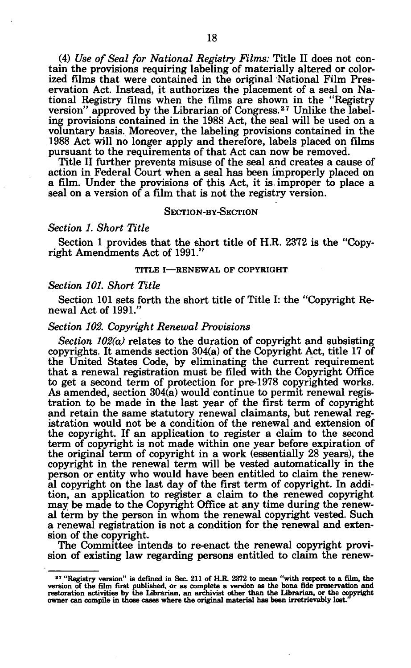(4) *Use of Seal for National Registry Films:* Title II does not contain the provisions requiring labeling of materially altered or colorized films that were contained in the original National Film Preservation Act. Instead, it authorizes the placement of a seal on National Registry films when the films are shown in the "Registry version" approved by the Librarian of Congress.<sup>27</sup> Unlike the labeling provisions contained in the 1988 Act, the seal will be used on a voluntary basis. Moreover, the labeling provisions contained in the 1988 Act will no longer apply and therefore, labels placed on films pursuant to the requirements of that Act can now be removed.

Title II further prevents misuse of the seal and creates a cause of action in Federal Court when a seal has been improperly placed on a film. Under the provisions of this Act, it is improper to place a seal on a version of a film that is not the registry version.

#### SECTION-BY-SECTION

## *Section 1. Short Title*

Section 1 provides that the short title of H.R. 2372 is the "Copyright Amendments Act of 1991."

#### **TITLE I—RENEWAL OF COPYRIGHT**

#### *Section 101. Short Title*

Section 101 sets forth the short title of Title I: the "Copyright Renewal Act of 1991.'

#### *Section 102. Copyright Renewal Provisions*

*Section 102(a)* relates to the duration of copyright and subsisting copyrights. It amends section 304(a) of the Copyright Act, title 17 of the United States Code, by eliminating the current requirement that a renewal registration must be filed with the Copyright Office to get a second term of protection for pre-1978 copyrighted works. As amended, section 304(a) would continue to permit renewal registration to be made in the last year of the first term of copyright and retain the same statutory renewal claimants, but renewal registration would not be a condition of the renewal and extension of the copyright. If an application to register a claim to the second term of copyright is not made within one year before expiration of the original term of copyright in a work (essentially 28 years), the copyright in the renewal term will be vested automatically in the person or entity who would have been entitled to claim the renewal copyright on the last day of the first term of copyright. In addition, an application to register a claim to the renewed copyright may be made to the Copyright Office at any time during the renewal term by the person in whom the renewal copyright vested. Such a renewal registration is not a condition for the renewal and extension of the copyright.

The Committee intends to re-enact the renewal copyright provision of existing law regarding persons entitled to claim the renew-

<sup>&</sup>lt;sup>27</sup> "Registry version" is defined in Sec. 211 of H.R. 2372 to mean "with respect to a film, the version of the film first published, or as complete a version as the bona fide preservation and<br>restoration activities by the Librarian, an archivist other than the Librarian, or the copyright<br>owner can compile in those ca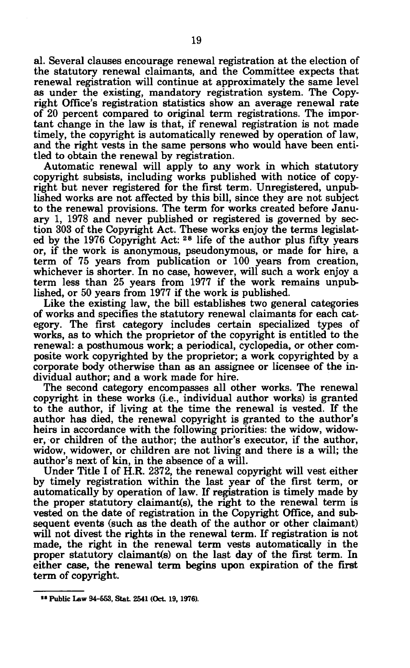al. Several clauses encourage renewal registration at the election of the statutory renewal claimants, and the Committee expects that renewal registration will continue at approximately the same level as under the existing, mandatory registration system. The Copyright Office's registration statistics show an average renewal rate of 20 percent compared to original term registrations. The important change in the law is that, if renewal registration is not made timely, the copyright is automatically renewed by operation of law, and the right vests in the same persons who would have been entitled to obtain the renewal by registration.

Automatic renewal will apply to any work in which statutory copyright subsists, including works published with notice of copyright but never registered for the first term. Unregistered, unpublished works are not affected by this bill, since they are not subject to the renewal provisions. The term for works created before January 1, 1978 and never published or registered is governed by section 303 of the Copyright Act. These works enjoy the terms legislated by the 1976 Copyright Act: <sup>28</sup> life of the author plus fifty years or, if the work is anonymous, pseudonymous, or made for hire, a term of 75 years from publication or 100 years from creation, whichever is shorter. In no case, however, will such a work enjoy a term less than 25 years from 1977 if the work remains unpublished, or 50 years from 1977 if the work is published.

Like the existing law, the bill establishes two general categories of works and specifies the statutory renewal claimants for each category. The first category includes certain specialized types of works, as to which the proprietor of the copyright is entitled to the renewal: a posthumous work; a periodical, cyclopedia, or other composite work copyrighted by the proprietor; a work copyrighted by a corporate body otherwise than as an assignee or licensee of the individual author; and a work made for hire.

The second category encompasses all other works. The renewal copyright in these works (i.e., individual author works) is granted to the author, if living at the time the renewal is vested. If the author has died, the renewal copyright is granted to the author's heirs in accordance with the following priorities: the widow, widower, or children of the author; the author's executor, if the author, widow, widower, or children are not living and there is a will; the author's next of kin, in the absence of a will.

Under Title I of H.R. 2372, the renewal copyright will vest either by timely registration within the last year of the first term, or automatically by operation of law. If registration is timely made by the proper statutory claimant(s), the right to the renewal term is vested on the date of registration in the Copyright Office, and subsequent events (such as the death of the author or other claimant) will not divest the rights in the renewal term. If registration is not made, the right in the renewal term vests automatically in the proper statutory claimant(s) on the last day of the first term. In either case, the renewal term begins upon expiration of the first term of copyright.

<sup>&</sup>lt;sup>28</sup> Public Law 94-553, Stat. 2541 (Oct. 19, 1976).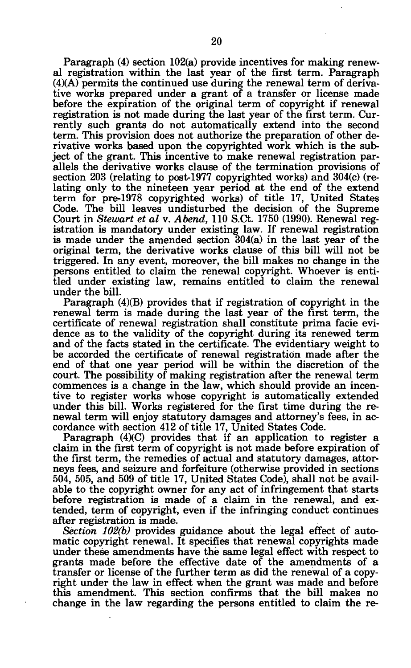Paragraph (4) section 102(a) provide incentives for making renewal registration within the last year of the first term. Paragraph  $(4)(A)$  permits the continued use during the renewal term of derivative works prepared under a grant of a transfer or license made before the expiration of the original term of copyright if renewal registration is not made during the last year of the first term. Currently such grants do not automatically extend into the second term. This provision does not authorize the preparation of other derivative works based upon the copyrighted work which is the subject of the grant. This incentive to make renewal registration parallels the derivative works clause of the termination provisions of section 203 (relating to post-1977 copyrighted works) and 304(c) (relating only to the nineteen year period at the end of the extend term for pre-1978 copyrighted works) of title 17, United States Code. The bill leaves undisturbed the decision of the Supreme Court in *Stewart et al* v. *Abend,* 110 S.Ct. 1750 (1990). Renewal registration is mandatory under existing law. If renewal registration is made under the amended section 304(a) in the last year of the original term, the derivative works clause of this bill will not be triggered. In any event, moreover, the bill makes no change in the persons entitled to claim the renewal copyright. Whoever is entitled under existing law, remains entitled to claim the renewal under the bill.

Paragraph (4)(B) provides that if registration of copyright in the renewal term is made during the last year of the first term, the certificate of renewal registration shall constitute prima facie evidence as to the validity of the copyright during its renewed term and of the facts stated in the certificate. The evidentiary weight to be accorded the certificate of renewal registration made after the end of that one year period will be within the discretion of the court. The possibility of making registration after the renewal term commences is a change in the law, which should provide an incentive to register works whose copyright is automatically extended under this bill. Works registered for the first time during the renewal term will enjoy statutory damages and attorney's fees, in accordance with section 412 of title 17, United States Code.

Paragraph (4)(C) provides that if an application to register a claim in the first term of copyright is not made before expiration of the first term, the remedies of actual and statutory damages, attorneys fees, and seizure and forfeiture (otherwise provided in sections 504, 505, and 509 of title 17, United States Code), shall not be available to the copyright owner for any act of infringement that starts before registration is made of a claim in the renewal, and extended, term of copyright, even if the infringing conduct continues after registration is made.

*Section 102(b)* provides guidance about the legal effect of automatic copyright renewal. It specifies that renewal copyrights made under these amendments have the same legal effect with respect to grants made before the effective date of the amendments of a transfer or license of the further term as did the renewal of a copyright under the law in effect when the grant was made and before this amendment. This section confirms that the bill makes no change in the law regarding the persons entitled to claim the re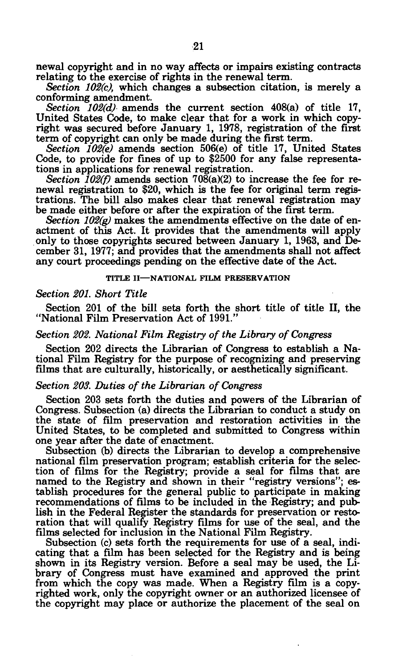newal copyright and in no way affects or impairs existing contracts relating to the exercise of rights in the renewal term.

*Section 102(c),* which changes a subsection citation, is merely a conforming amendment.

*Section 102(d)* amends the current section 408(a) of title 17, United States Code, to make clear that for a work in which copyright was secured before January 1, 1978, registration of the first term of copyright can only be made during the first term.

*Section 102(e)* amends section 506(e) of title 17, United States Code, to provide for fines of up to \$2500 for any false representations in applications for renewal registration.

*Section 102(f)* amends section 708(a)(2) to increase the fee for renewal registration to \$20, which is the fee for original term registrations. The bill also makes clear that renewal registration may be made either before or after the expiration of the first term.

*Section 102(g)* makes the amendments effective on the date of enactment of this Act. It provides that the amendments will apply only to those copyrights secured between January 1, 1963, and December 31, 1977; and provides that the amendments shall not affect any court proceedings pending on the effective date of the Act.

#### **TITLE II—NATIONAL FILM PRESERVATION**

## *Section 201. Short Title*

Section 201 of the bill sets forth the short title of title II, the "National Film Preservation Act of 1991."

# *Section 202. National Film. Registry of the Library of Congress*

Section 202 directs the Librarian of Congress to establish a National Film Registry for the purpose of recognizing and preserving films that are culturally, historically, or aesthetically significant.

#### *Section 203. Duties of the Librarian of Congress*

Section 203 sets forth the duties and powers of the Librarian of Congress. Subsection (a) directs the Librarian to conduct a study on the state of film preservation and restoration activities in the United States, to be completed and submitted to Congress within one year after the date of enactment.

Subsection (b) directs the Librarian to develop a comprehensive national film preservation program; establish criteria for the selection of films for the Registry; provide a seal for films that are named to the Registry and shown in their "registry versions"; establish procedures for the general public to participate in making recommendations of films to be included in the Registry; and publish in the Federal Register the standards for preservation or restoration that will qualify Registry films for use of the seal, and the films selected for inclusion in the National Film Registry.

Subsection (c) sets forth the requirements for use of a seal, indicating that a film has been selected for the Registry and is being shown in its Registry version. Before a seal may be used, the Library of Congress must have examined and approved the print from which the copy was made. When a Registry film is a copyrighted work, only the copyright owner or an authorized licensee of the copyright may place or authorize the placement of the seal on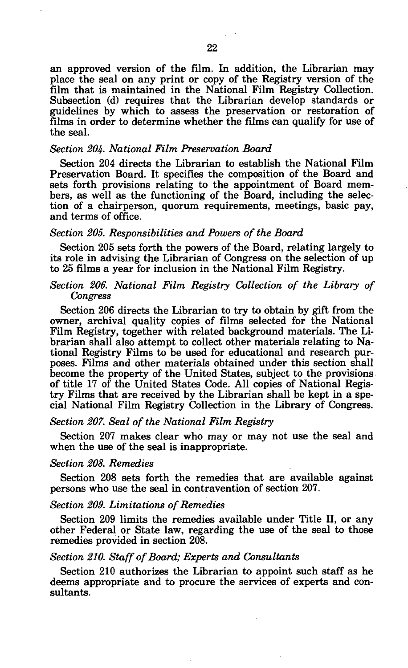an approved version of the film. In addition, the Librarian may place the seal on any print or copy of the Registry version of the film that is maintained in the National Film Registry Collection. Subsection (d) requires that the Librarian develop standards or guidelines by which to assess the preservation or restoration of films in order to determine whether the films can qualify for use of the seal.

## *Section 204. National Film Preservation Board*

Section 204 directs the Librarian to establish the National Film Preservation Board. It specifies the composition of the Board and sets forth provisions relating to the appointment of Board members, as well as the functioning of the Board, including the selection of a chairperson, quorum requirements, meetings, basic pay, and terms of office.

## *Section 205. Responsibilities and Powers of the Board*

Section 205 sets forth the powers of the Board, relating largely to its role in advising the Librarian of Congress on the selection of up to 25 films a year for inclusion in the National Film Registry.

## *Section 206. National Film Registry Collection of the Library of Congress*

Section 206 directs the Librarian to try to obtain by gift from the owner, archival quality copies of films selected for the National Film Registry, together with related background materials. The Librarian shall also attempt to collect other materials relating to National Registry Films to be used for educational and research purposes. Films and other materials obtained under this section shall become the property of the United States, subject to the provisions of title 17 of the United States Code. All copies of National Registry Films that are received by the Librarian shall be kept in a special National Film Registry Collection in the Library of Congress.

## *Section 207. Seal of the National Film Registry*

Section 207 makes clear who may or may not use the seal and when the use of the seal is inappropriate.

## *Section 208. Remedies*

Section 208 sets forth the remedies that are available against persons who use the seal in contravention of section 207.

## *Section 209. Limitations of Remedies*

Section 209 limits the remedies available under Title II, or any other Federal or State law, regarding the use of the seal to those remedies provided in section 208.

#### *Section 210. Staff of Board; Experts and Consultants*

Section 210 authorizes the Librarian to appoint such staff as he deems appropriate and to procure the services of experts and consultants.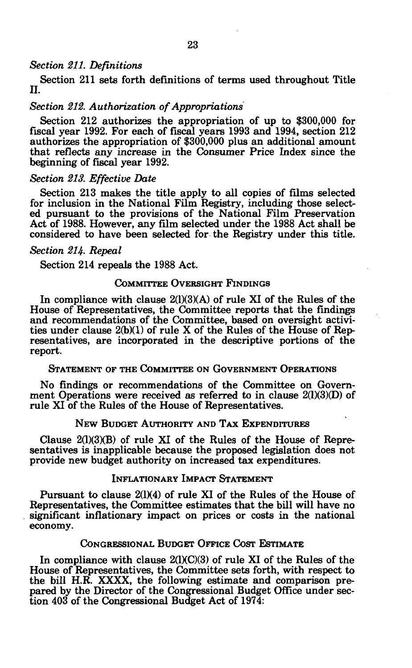## *Section 211. Definitions*

Section 211 sets forth definitions of terms used throughout Title **n.** 

# *Section 212. Authorization of Appropriations*

Section 212 authorizes the appropriation of up to \$300,000 for fiscal year 1992. For each of fiscal years 1993 and 1994, section 212 authorizes the appropriation of \$300,000 plus an additional amount that reflects any increase in the Consumer Price Index since the beginning of fiscal year 1992.

## *Section 213. Effective Date*

Section 213 makes the title apply to all copies of films selected for inclusion in the National Film Registry, including those selected pursuant to the provisions of the National Film Preservation Act of 1988. However, any film selected under the 1988 Act shall be considered to have been selected for the Registry under this title.

## *Section 214- Repeal*

Section 214 repeals the 1988 Act.

# COMMITTEE OVERSIGHT FINDINGS

In compliance with clause 2(1)(3)(A) of rule XI of the Rules of the House of Representatives, the Committee reports that the findings and recommendations of the Committee, based on oversight activities under clause 2(b)(1) of rule X of the Rules of the House of Representatives, are incorporated in the descriptive portions of the report.

# STATEMENT OF THE COMMITTEE ON GOVERNMENT OPERATIONS

No findings or recommendations of the Committee on Government Operations were received as referred to in clause 2(1)(3)(D) of rule XI of the Rules of the House of Representatives.

# NEW BUDGET AUTHORITY AND TAX EXPENDITURES

Clause  $2(1)(3)(B)$  of rule XI of the Rules of the House of Representatives is inapplicable because the proposed legislation does not provide new budget authority on increased tax expenditures.

# INFLATIONARY IMPACT STATEMENT

Pursuant to clause 2(1)(4) of rule XI of the Rules of the House of Representatives, the Committee estimates that the bill will have no significant inflationary impact on prices or costs in the national economy.

## CONGRESSIONAL BUDGET OFFICE COST ESTIMATE

In compliance with clause  $2(1)(C)(3)$  of rule XI of the Rules of the House of Representatives, the Committee sets forth, with respect to the bill H.R. XXXX, the following estimate and comparison prepared by the Director of the Congressional Budget Office under section 403 of the Congressional Budget Act of 1974: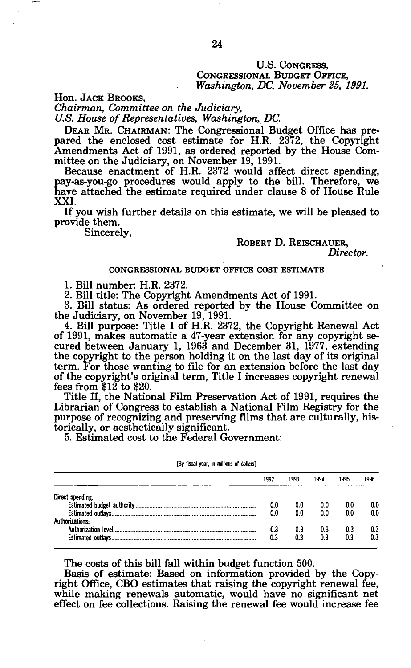## U.S. CONGRESS, CONGRESSIONAL BUDGET OFFICE, *Washington, DC, November 25, 1991.*

Hon. JACK BROOKS,

*Chairman, Committee on the Judiciary,* 

*U.S. House of Representatives, Washington, DC.* 

DEAR MR. CHAIRMAN: The Congressional Budget Office has prepared the enclosed cost estimate for H.R. 2372, the Copyright Amendments Act of 1991, as ordered reported by the House Committee on the Judiciary, on November 19, 1991.

Because enactment of H.R. 2372 would affect direct spending, pay-as-you-go procedures would apply to the bill. Therefore, we have attached the estimate required under clause 8 of House Rule XXI.

If you wish further details on this estimate, we will be pleased to provide them.

Sincerely,

## ROBERT D. REISCHAUER,

*Director.* 

#### CONGRESSIONAL BUDGET OFFICE COST ESTIMATE

1. BUI number: H.R. 2372.

2. Bill title: The Copyright Amendments Act of 1991.

3. Bill status: As ordered reported by the House Committee on the Judiciary, on November 19, 1991.

4. Bill purpose: Title I of H.R. 2372, the Copyright Renewal Act of 1991, makes automatic a 47-year extension for any copyright secured between January 1, 1963 and December 31, 1977, extending the copyright to the person holding it on the last day of its original term. For those wanting to file for an extension before the last day of the copyright's original term, Title I increases copyright renewal fees from \$12 to \$20.

Title II, the National Film Preservation Act of 1991, requires the Librarian of Congress to establish a National Film Registry for the purpose of recognizing and preserving films that are culturally, historically, or aesthetically significant.

5. Estimated cost to the Federal Government:

|                  | 1992 | 1993 | 1994 | 1995 | 1996 |
|------------------|------|------|------|------|------|
| Direct spending: |      |      |      |      |      |
|                  | 0.0  | 0.0  | 0.0  | 00   | 0.0  |
|                  | 0.0  | 0.0  | 0.0  | 0.0  | 0.0  |
| Authorizations:  |      |      |      |      |      |
|                  | 0.3  | 0.3  | 0.3  | 0.3  | 0.3  |
|                  | 0.3  | 0.3  | 0.3  | 0.3  | 0.3  |
|                  |      |      |      |      |      |

#### **[By fiscal year, in millions of dollars]**

The costs of this bill fall within budget function 500.

Basis of estimate: Based on information provided by the Copyright Office, CBO estimates that raising the copyright renewal fee, while making renewals automatic, would have no significant net effect on fee collections. Raising the renewal fee would increase fee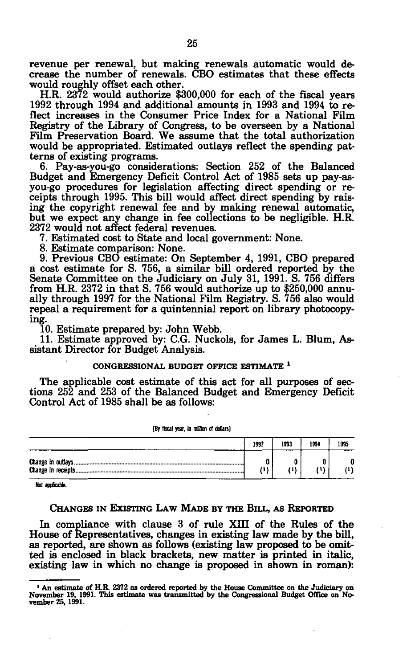revenue per renewal, but making renewals automatic would decrease the number of renewals. CBO estimates that these effects would roughly offset each other.

H.R. 2372 would authorize \$300,000 for each of the fiscal years 1992 through 1994 and additional amounts in 1993 and 1994 to reflect increases in the Consumer Price Index for a National Film Registry of the Library of Congress, to be overseen by a National Film Preservation Board. We assume that the total authorization would be appropriated. Estimated outlays reflect the spending patterns of existing programs.

6. Pay-as-you-go considerations: Section 252 of the Balanced Budget and Emergency Deficit Control Act of 1985 sets up pay-asyou-go procedures for legislation affecting direct spending or receipts through 1995. This bill would affect direct spending by raising the copyright renewal fee and by making renewal automatic, but we expect any change in fee collections to be negligible. H.R. 2372 would not affect federal revenues.

7. Estimated cost to State and local government: None.

8. Estimate comparison: None.

9. Previous CBO estimate: On September 4, 1991, CBO prepared a cost estimate for S. 756, a similar bill ordered reported by the Senate Committee on the Judiciary on July 31, 1991. S. 756 differs from H.R. 2372 in that S. 756 would authorize up to \$250,000 annually through 1997 for the National Film Registry. S. 756 also would repeal a requirement for a quintennial report on library photocopying.

10. Estimate prepared by: John Webb.

11. Estimate approved by: C.G. Nuckols, for James L. Blum, Assistant Director for Budget Analysis.

#### **CONGRESSIONAL BUDGET OFFICE ESTIMATE \***

The applicable cost estimate of this act for all purposes of sections 252 and 253 of the Balanced Budget and Emergency Deficit Control Act of 1985 shall be as follows:

| [By fiscal year, in million of dollars] |      |      |      |      |  |  |  |  |
|-----------------------------------------|------|------|------|------|--|--|--|--|
|                                         | 1992 | 1993 | 1994 | 1995 |  |  |  |  |
|                                         | /11  | 71)  |      |      |  |  |  |  |

**Not applicable.** 

## CHANGES IN EXISTING LAW MADE BY THE BILL, AS REPORTED

In compliance with clause 3 of rule XIII of the Rules of the House of Representatives, changes in existing law made by the bill, as reported, are shown as follows (existing law proposed to be omitted is enclosed in black brackets, new matter is printed in italic, existing law in which no change is proposed in shown in roman):

**<sup>1</sup> An estimate of H.R 2372 as ordered reported by the House Committee on the Judiciary on November 19, 1991. This estimate was transmitted by the Congressional Budget Office on No-vember 25,1991.**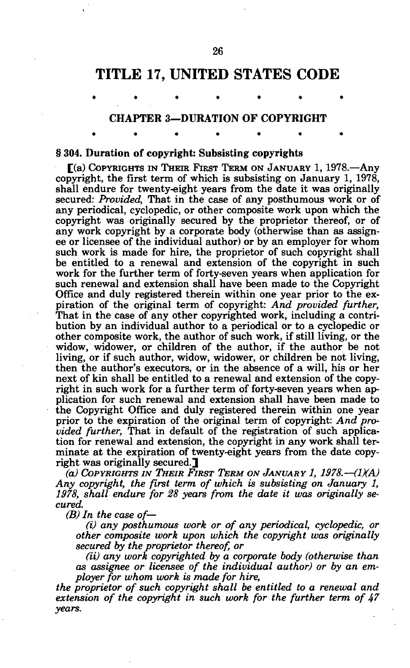# **TITLE 17, UNITED STATES CODE**

#### CHAPTER 3—DURATION OF COPYRIGHT

\*\*\*\*\*\* \*

\*\*\*\* \*\*\* \*\* \*\* \*\*

§ 304. Duration of copyright: Subsisting copyrights

[(a) COPYRIGHTS IN THEIR FIRST TERM ON JANUARY 1, 1978.—Any copyright, the first term of which is subsisting on January 1, 1978, shall endure for twenty-eight years from the date it was originally secured: *Provided,* That in the case of any posthumous work or of any periodical, cyclopedic, or other composite work upon which the copyright was originally secured by the proprietor thereof, or of any work copyright by a corporate body (otherwise than as assignee or licensee of the individual author) or by an employer for whom such work is made for hire, the proprietor of such copyright shall be entitled to a renewal and extension of the copyright in such work for the further term of forty-seven years when application for such renewal and extension shall have been made to the Copyright Office and duly registered therein within one year prior to the expiration of the original term of copyright: *And provided further,*  That in the case of any other copyrighted work, including a contribution by an individual author to a periodical or to a cyclopedic or other composite work, the author of such work, if still living, or the widow, widower, or children of the author, if the author be not living, or if such author, widow, widower, or children be not living, then the author's executors, or in the absence of a will, his or her next of kin shall be entitled to a renewal and extension of the copyright in such work for a further term of forty-seven years when application for such renewal and extension shall have been made to the Copyright Office and duly registered therein within one year prior to the expiration of the original term of copyright: *And provided further,* That in default of the registration of such application for renewal and extension, the copyright in any work shall terminate at the expiration of twenty-eight years from the date copyright was originally secured.

*(a) COPYRIGHTS IN THEIR FIRST TERM ON JANUARY 1, 1978.*—*(1XA) Any copyright, the first term of which is subsisting on January 1, 1978, shall endure for 28 years from the date it was originally secured.* 

*(B) In the case of—* 

*(i) any posthumous work or of any periodical, cyclopedic, or other composite work upon which the copyright was originally secured by the proprietor thereof, or* 

*(ii) any work copyrighted by a corporate body (otherwise than as assignee or licensee of the individual author) or by an employer for whom work is made for hire,* 

*the proprietor of such copyright shall be entitled to a renewal and extension of the copyright in such work for the further term of 47 years.*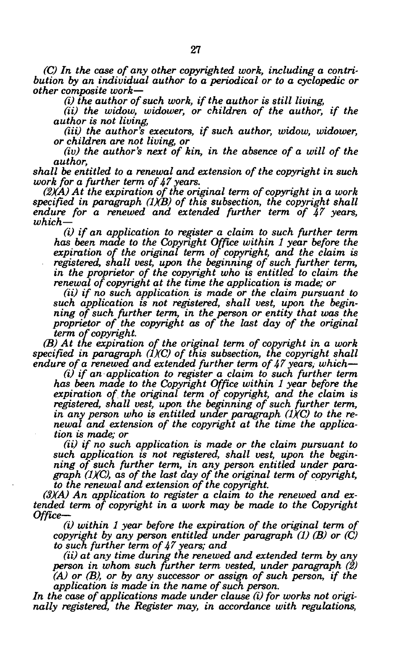*(C) In the case of any other copyrighted work, including a contribution by an individual author to a periodical or to a cyclopedic or other composite work*—

*(i) the author of such work, if the author is still living,* 

*(ii) the widow, widower, or children of the author, if the author is not living,* 

*(iii)* the author's executors, if such author, widow, widower, *or children are not living, or* 

*(iv)* the author's next of kin, in the absence of a will of the *author,* 

*shall be entitled to a renewal and extension of the copyright in such work for a further term of 47years.* 

*(2XA) At the expiration of the original term of copyright in a work specified in paragraph (1KB) of this subsection, the copyright shall endure for a renewed and extended further term of 47 years, which*—

*(i) if an application to register a claim to such further term has been made to the Copyright Office within 1 year before the expiration of the original term of copyright, and the claim is registered, shall vest, upon the beginning of such further term, in the proprietor of the copyright who is entitled to claim the renewal of copyright at the time the application is made; or* 

*(ii) if no such application is made or the claim pursuant to such application is not registered, shall vest, upon the beginning of such further term, in the person or entity that was the proprietor of the copyright as of the last day of the original term of copyright.* 

*(B) At the expiration of the original term of copyright in a work specified in paragraph (IXC) of this subsection, the copyright shall endure of a renewed and extended further term of 47 years, which*—

*(i) if an application to register a claim to such further term has been made to the Copyright Office within 1 year before the expiration of the original term of copyright, and the claim is registered, shall vest, upon the beginning of such further term, in any person who is entitled under paragraph (IXC) to the renewal and extension of the copyright at the time the application is made; or* 

*(ii) if no such application is made or the claim pursuant to such application is not registered, shall vest, upon the beginning of such further term, in any person entitled under paragraph (IXC), as of the last day of the original term of copyright, to the renewal and extension of the copyright.* 

*(3XA) An application to register a claim to the renewed and extended term of copyright in a work may be made to the Copyright Office—* 

*(i) within 1 year before the expiration of the original term of copyright by any person entitled under paragraph (1) (B) or (C) to such further term of 47years; and* 

*(ii) at any time during the renewed and extended term by any person in whom such further term vested, under paragraph (2) (A) or (B), or by any successor or assign of such person, if the application is made in the name of such person.* 

*In the case of applications made under clause (i) for works not originally registered, the Register may, in accordance with regulations,*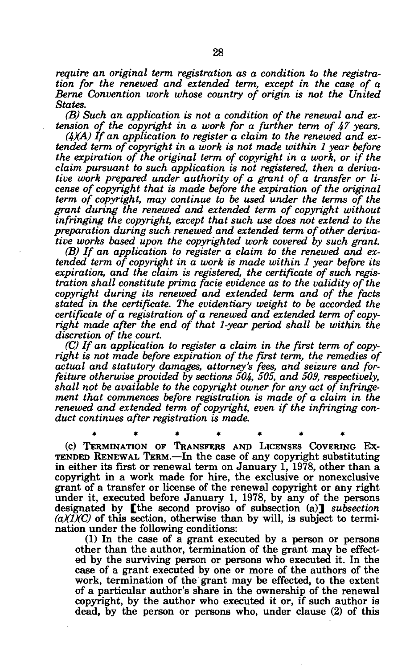*require an original term registration as a condition to the registration for the renewed and extended term, except in the case of a Berne Convention work whose country of origin is not the United States.* 

*(B) Such an application is not a condition of the renewal and extension of the copyright in a work for a further term of 47 years.* 

*(4XA) If an application to register a claim to the renewed and extended term of copyright in a work is not made within 1 year before the expiration of the original term of copyright in a work, or if the claim pursuant to such application is not registered, then a derivative work prepared under authority of a grant of a transfer or license of copyright that is made before the expiration of the original term of copyright, may continue to be used under the terms of the grant during the renewed and extended term of copyright without infringing the copyright, except that such use does not extend to the preparation during such renewed and extended term of other derivative works based upon the copyrighted work covered by such grant.* 

*(B) If an application to register a claim to the renewed and extended term of copyright in a work is made within 1 year before its expiration, and the claim is registered, the certificate of such registration shall constitute prima facie evidence as to the validity of the copyright during its renewed and extended term and of the facts stated in the certificate. The evidentiary weight to be accorded the certificate of a registration of a renewed and extended term of copyright made after the end of that 1-year period shall be within the discretion of the court.* 

*(C) If an application to register a claim in the first term of copyright is not made before expiration of the first term, the remedies of actual and statutory damages, attorney's fees, and seizure and forfeiture otherwise provided by sections 504, 505, and 509, respectively, shall not be available to the copyright owner for any act of infringement that commences before registration is made of a claim in the renewed and extended term of copyright, even if the infringing conduct continues after registration is made.* 

**\*\*\*\*\*\* \***  (c) TERMINATION OF TRANSFERS AND LICENSES COVERING EX-TENDED RENEWAL TERM.—In the case of any copyright substituting in either its first or renewal term on January 1, 1978, other than a copyright in a work made for hire, the exclusive or nonexclusive grant of a transfer or license of the renewal copyright or any right under it, executed before January 1, 1978, by any of the persons designated by [the second proviso of subsection (a)] *subsection*   $(a)(1)(C)$  of this section, otherwise than by will, is subject to termination under the following conditions:

(1) In the case of a grant executed by a person or persons other than the author, termination of the grant may be effected by the surviving person or persons who executed it. In the case of a grant executed by one or more of the authors of the work, termination of the grant may be effected, to the extent of a particular author's share in the ownership of the renewal copyright, by the author who executed it or, if such author is dead, by the person or persons who, under clause (2) of this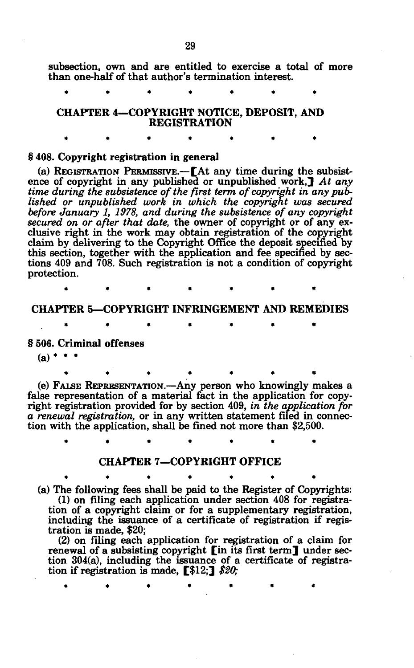subsection, own and are entitled to exercise a total of more than one-half of that author's termination interest.

CHAPTER 4—COPYRIGHT NOTICE, DEPOSIT, AND REGISTRATION

#### § 408. Copyright registration in general

(a) REGISTRATION PERMISSIVE.—[At any time during the subsistence of copyright in any published or unpublished work,] *At any time during the subsistence of the first term of copyright in any published or unpublished work in which the copyright was secured before January 1, 1978, and during the subsistence of any copyright secured on or after that date,* the owner of copyright or of any exclusive right in the work may obtain registration of the copyright claim by delivering to the Copyright Office the deposit specified by this section, together with the application and fee specified by sections 409 and 708. Such registration is not a condition of copyright protection.

# CHAPTER 5—COPYRIGHT INFRINGEMENT AND REMEDIES

## § 506. Criminal offenses

 $(a)$  \* \*

(e) FALSE REPRESENTATION.—Any person who knowingly makes a false representation of a material fact in the application for copyright registration provided for by section 409, *in the application for a renewal registration,* or in any written statement filed in connection with the application, shall be fined not more than \$2,500.

\*\*\*\*\*\* \*

**\*\*\*\*\*\* \*** 

## CHAPTER 7—COPYRIGHT OFFICE

 $\bullet$  . The set of the set of the set of the set of the set of the set of the set of the set of the set of the set of the set of the set of the set of the set of the set of the set of the set of the set of the set of the s (a) The following fees shall be paid to the Register of Copyrights: (1) on filing each application under section 408 for registration of a copyright claim or for a supplementary registration, including the issuance of a certificate of registration if registration is made, \$20;

(2) on filing each application for registration of a claim for renewal of a subsisting copyright **[in its first term]** under section 304(a), including the issuance of a certificate of registration if registration is made, [\$12;] *\$20;*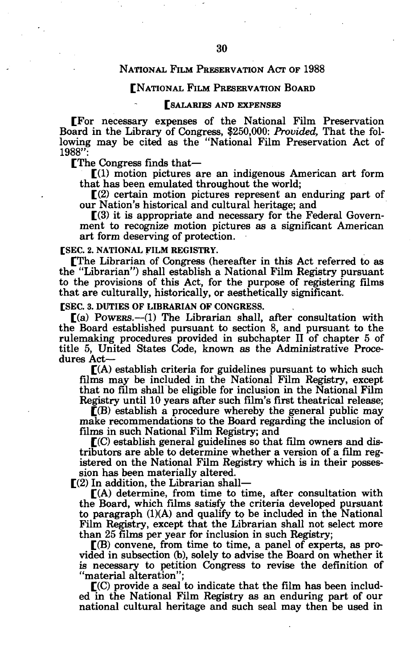## NATIONAL FILM PRESERVATION ACT OF 1988

#### [NATIONAL FILM PRESERVATION BOARD

#### [SALARIES AND EXPENSES

[For necessary expenses of the National Film Preservation Board in the Library of Congress, \$250,000: *Provided,* That the following may be cited as the "National Film Preservation Act of 1988":

[The Congress finds that—

 $\Gamma(1)$  motion pictures are an indigenous American art form that has been emulated throughout the world;

 $\Gamma(2)$  certain motion pictures represent an enduring part of our Nation's historical and cultural heritage; and

 $\Gamma(3)$  it is appropriate and necessary for the Federal Government to recognize motion pictures as a significant American art form deserving of protection.

**[SEC. 2. NATIONAL FILM REGISTRY.** 

[The Librarian of Congress (hereafter in this Act referred to as the "Librarian") shall establish a National Film Registry pursuant to the provisions of this Act, for the purpose of registering films that are culturally, historically, or aesthetically significant.

**[SEC. 3. DUTIES OF LIBRARIAN OF CONGRESS.** 

 $[(a)$  Powers.—(1) The Librarian shall, after consultation with the Board established pursuant to section 8, and pursuant to the rulemaking procedures provided in subchapter II of chapter 5 of title 5, United States Code, known as the Administrative Procedures Act—

 $\mathbf{f}(A)$  establish criteria for guidelines pursuant to which such films may be included in the National Film Registry, except that no film shall be eligible for inclusion in the National Film Registry until 10 years after such film's first theatrical release;

 $($ B) establish a procedure whereby the general public may make recommendations to the Board regarding the inclusion of films in such National Film Registry; and

 $\mathbf{F}(\mathbf{C})$  establish general guidelines so that film owners and distributors are able to determine whether a version of a film registered on the National Film Registry which is in their possession has been materially altered.

 $\Gamma(2)$  In addition, the Librarian shall-

 $\mathbf{f}(\mathbf{A})$  determine, from time to time, after consultation with the Board, which films satisfy the criteria developed pursuant to paragraph (1)(A) and qualify to be included in the National Film Registry, except that the Librarian shall not select more than 25 films per year for inclusion in such Registry;

 $\mathbb{R}(B)$  convene, from time to time, a panel of experts, as provided in subsection (b), solely to advise the Board on whether it is necessary to petition Congress to revise the definition of "material alteration";

 $\mathbf{C}(\mathbf{C})$  provide a seal to indicate that the film has been included in the National Film Registry as an enduring part of our national cultural heritage and such seal may then be used in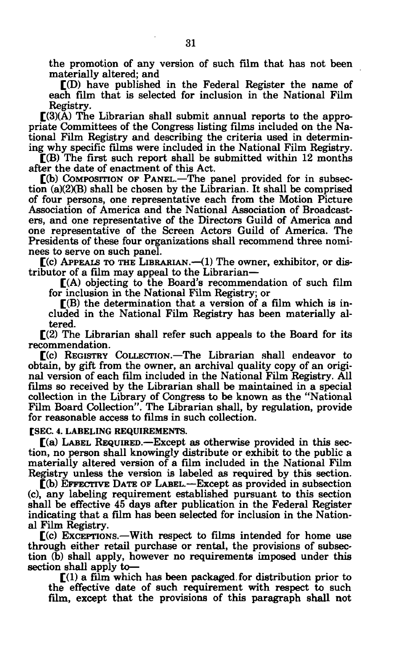the promotion of any version of such film that has not been materially altered; and

[(D) have published in the Federal Register the name of each film that is selected for inclusion in the National Film Registry.

 $[(3)(\overline{A})$  The Librarian shall submit annual reports to the appropriate Committees of the Congress listing films included on the National Film Registry and describing the criteria used in determining why specific films were included in the National Film Registry.

[(B) The first such report shall be submitted within 12 months after the date of enactment of this Act.

[(b) COMPOSITION OF PANEL.—The panel provided for in subsection (a)(2)(B) shall be chosen by the Librarian. It shall be comprised of four persons, one representative each from the Motion Picture Association of America and the National Association of Broadcasters, and one representative of the Directors Guild of America and one representative of the Screen Actors Guild of America. The Presidents of these four organizations shall recommend three nominees to serve on such panel.

 $C(c)$  APPEALS TO THE LIBRARIAN.—(1) The owner, exhibitor, or distributor of a film may appeal to the Librarian—

 $[(A)$  objecting to the Board's recommendation of such film for inclusion in the National Film Registry; or

 $\mathbb{I}(B)$  the determination that a version of a film which is included in the National Film Registry has been materially altered.

 $[(2)$  The Librarian shall refer such appeals to the Board for its recommendation.

[(c) REGISTRY COLLECTION.—The Librarian shall endeavor to obtain, by gift from the owner, an archival quality copy of an original version of each film included in the National Film Registry. All films so received by the Librarian shall be maintained in a special collection in the Library of Congress to be known as the "National Film Board Collection". The Librarian shall, by regulation, provide for reasonable access to films in such collection.

**[SEC. 4. LABELING REQUIREMENTS.** 

 $[(a)$  LABEL REQUIRED.—Except as otherwise provided in this section, no person shall knowingly distribute or exhibit to the public a materially altered version of a film included in the National Film Registry unless the version is labeled as required by this section.

 $\check{[}$ (b) EFFECTIVE DATE OF LABEL.—Except as provided in subsection (c), any labeling requirement established pursuant to this section shall be effective 45 days after publication in the Federal Register indicating that a film has been selected for inclusion in the National Film Registry.

 $\Gamma$ (c) Exceptions.—With respect to films intended for home use through either retail purchase or rental, the provisions of subsection (b) shall apply, however no requirements imposed under this section shall apply to—

 $[(1)$  a film which has been packaged for distribution prior to the effective date of such requirement with respect to such film, except that the provisions of this paragraph shall not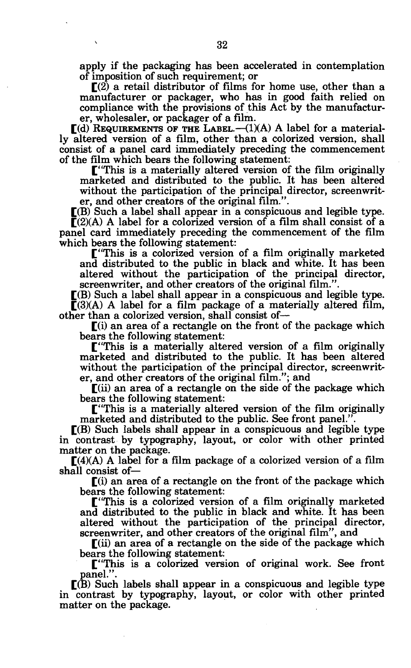apply if the packaging has been accelerated in contemplation of imposition of such requirement; or

 $\Gamma(2)$  a retail distributor of films for home use, other than a manufacturer or packager, who has in good faith relied on compliance with the provisions of this Act by the manufacturer, wholesaler, or packager of a film.

 $\Gamma$ (d) REQUIREMENTS OF THE LABEL.—(1)(A) A label for a materially altered version of a film, other than a colorized version, shall consist of a panel card immediately preceding the commencement of the film which bears the following statement:

["This is a materially altered version of the film originally marketed and distributed to the public. It has been altered without the participation of the principal director, screenwriter, and other creators of the original film.".

 $\Gamma(B)$  Such a label shall appear in a conspicuous and legible type.  $\overline{\Gamma}(2)(A)$  A label for a colorized version of a film shall consist of a panel card immediately preceding the commencement of the film which bears the following statement:

["This is a colorized version of a film originally marketed and distributed to the public in black and white. It has been altered without the participation of the principal director, screenwriter, and other creators of the original film.".

 $\Gamma(B)$  Such a label shall appear in a conspicuous and legible type.  $\Gamma(3)$ (A) A label for a film package of a materially altered film, other than a colorized version, shall consist of—

 $\Gamma(i)$  an area of a rectangle on the front of the package which bears the following statement:

["This is a materially altered version of a film originally marketed and distributed to the public. It has been altered without the participation of the principal director, screenwriter, and other creators of the original film."; and

[(ii) an area of a rectangle on the side of the package which bears the following statement:

["This is a materially altered version of the film originally marketed and distributed to the public. See front panel.'

 $\Gamma(B)$  Such labels shall appear in a conspicuous and legible type in contrast by typography, layout, or color with other printed matter on the package.

 $[(4)(A)$  A label for a film package of a colorized version of a film shall consist of—

 $\Gamma(i)$  an area of a rectangle on the front of the package which bears the following statement:

["This is a colorized version of a film originally marketed and distributed to the public in black and white. It has been altered without the participation of the principal director, screenwriter, and other creators of the original film", and

 $\Gamma$ (ii) an area of a rectangle on the side of the package which bears the following statement:

["This is a colorized version of original work. See front panel.".

 $\Gamma(B)$  Such labels shall appear in a conspicuous and legible type in contrast by typography, layout, or color with other printed matter on the package.

 $\overline{\mathbf{r}}$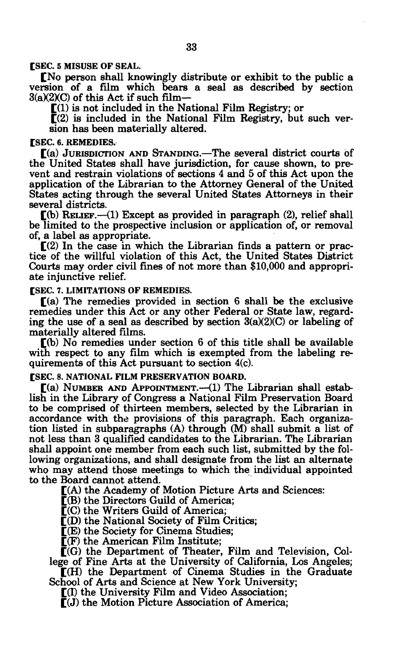**[SEC. 5 MISUSE OF SEAL.** 

[No person shall knowingly distribute or exhibit to the public a version of a film which bears a seal as described by section  $3(a)(2)(C)$  of this Act if such film-

 $\Gamma(1)$  is not included in the National Film Registry; or

 $[(2)$  is included in the National Film Registry, but such version has been materially altered.

#### **[SEC. 6. REMEDIES.**

[(a) JURISDICTION AND STANDING.—The several district courts of the United States shall have jurisdiction, for cause shown, to prevent and restrain violations of sections 4 and 5 of this Act upon the application of the Librarian to the Attorney General of the United States acting through the several United States Attorneys in their several districts.

 $\Gamma$ (b) RELIEF.—(1) Except as provided in paragraph (2), relief shall be limited to the prospective inclusion or application of, or removal of, a label as appropriate.

 $\mathbb{C}(2)$  In the case in which the Librarian finds a pattern or practice of the willful violation of this Act, the United States District Courts may order civil fines of not more than \$10,000 and appropriate injunctive relief.

**[SEC. 7. LIMITATIONS OF REMEDIES.** 

 $\Gamma$ (a) The remedies provided in section 6 shall be the exclusive remedies under this Act or any other Federal or State law, regarding the use of a seal as described by section  $3(a)(2)(C)$  or labeling of materially altered films.

[(b) No remedies under section 6 of this title shall be available with respect to any film which is exempted from the labeling requirements of this Act pursuant to section 4(c).

## **[SEC. 8. NATIONAL FILM PRESERVATION BOARD.**

[(a) NUMBER AND APPOINTMENT.—(1) The Librarian shall establish in the Library of Congress a National Film Preservation Board to be comprised of thirteen members, selected by the Librarian in accordance with the provisions of this paragraph. Each organization listed in subparagraphs (A) through (M) shall submit a list of not less than 3 qualified candidates to the Librarian. The Librarian shall appoint one member from each such list, submitted by the following organizations, and shall designate from the list an alternate who may attend those meetings to which the individual appointed to the Board cannot attend.

[(A) the Academy of Motion Picture Arts and Sciences:

 $\bar{[}$ (B) the Directors Guild of America;

[(C) the Writers Guild of America;

 $\Gamma$ (D) the National Society of Film Critics;

[(E) the Society for Cinema Studies;

 $\mathbb{F}(F)$  the American Film Institute;

 $\overline{C}(G)$  the Department of Theater, Film and Television, Col-

lege of Fine Arts at the University of California, Los Angeles; [(H) the Department of Cinema Studies in the Graduate

School of Arts and Science at New York University;

[(I) the University Film and Video Association;

 $\llbracket$ (J) the Motion Picture Association of America;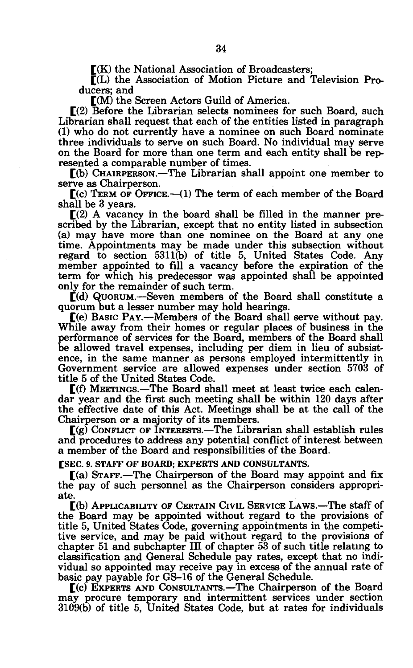$\mathbb{I}(\mathbf{K})$  the National Association of Broadcasters;

 $\overline{\Gamma}(L)$  the Association of Motion Picture and Television Producers; and

[(M) the Screen Actors Guild of America.

 $[2]$  Before the Librarian selects nominees for such Board, such Librarian shall request that each of the entities listed in paragraph (1) who do not currently have a nominee on such Board nominate three individuals to serve on such Board. No individual may serve on the Board for more than one term and each entity shall be represented a comparable number of times.

[(b) CHAIRPERSON.—The Librarian shall appoint one member to serve as Chairperson.

 $(C)$  TERM OF OFFICE. $-(1)$  The term of each member of the Board shall be 3 years.

 $[(2)$  A vacancy in the board shall be filled in the manner prescribed by the Librarian, except that no entity listed in subsection (a) may have more than one nominee on the Board at any one time. Appointments may be made under this subsection without regard to section 5311(b) of title 5, United States Code. Any member appointed to fill a vacancy before the expiration of the term for which his predecessor was appointed shall be appointed only for the remainder of such term.

[(d) QUORUM.—Seven members of the Board shall constitute a quorum but a lesser number may hold hearings.

[(e) BASIC PAY.—Members of the Board shall serve without pay. While away from their homes or regular places of business in the performance of services for the Board, members of the Board shall be allowed travel expenses, including per diem in lieu of subsistence, in the same manner as persons employed intermittently in Government service are allowed expenses under section 5703 of title 5 of the United States Code.

[(f) MEETINGS.—The Board shall meet at least twice each calendar year and the first such meeting shall be within 120 days after the effective date of this Act. Meetings shall be at the call of the Chairperson or a majority of its members.

[(g) CONFLICT OF INTERESTS.—The Librarian shall establish rules and procedures to address any potential conflict of interest between a member of the Board and responsibilities of the Board.

**[SEC. 9. STAFF OF BOARD; EXPERTS AND CONSULTANTS.** 

 $\Gamma$ (a) STAFF.—The Chairperson of the Board may appoint and fix the pay of such personnel as the Chairperson considers appropriate.

[(b) APPLICABILITY OF CERTAIN CIVIL SERVICE LAWS.—The staff of the Board may be appointed without regard to the provisions of title 5, United States Code, governing appointments in the competitive service, and may be paid without regard to the provisions of chapter 51 and subchapter III of chapter 53 of such title relating to classification and General Schedule pay rates, except that no individual so appointed may receive pay in excess of the annual rate of basic pay payable for GS-16 of the General Schedule.

[(c) EXPERTS AND CONSULTANTS.—The Chairperson of the Board may procure temporary and intermittent services under section 3109(b) of title 5, United States Code, but at rates for individuals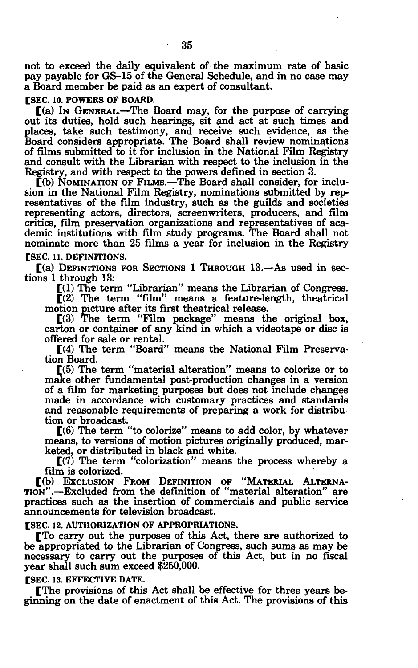not to exceed the daily equivalent of the maximum rate of basic pay payable for GS-15 of the General Schedule, and in no case may a Board member be paid as an expert of consultant.

#### **[SEC. 10. POWERS OF BOARD.**

[(a) IN GENERAL.—The Board may, for the purpose of carrying out its duties, hold such hearings, sit and act at such times and places, take such testimony, and receive such evidence, as the Board considers appropriate. The Board shall review nominations of films submitted to it for inclusion in the National Film Registry and consult with the Librarian with respect to the inclusion in the Registry, and with respect to the powers defined in section 3.

[(b) NOMINATION OF FILMS.—The Board shall consider, for inclusion in the National Film Registry, nominations submitted by representatives of the film industry, such as the guilds and societies representing actors, directors, screenwriters, producers, and film critics, film preservation organizations and representatives of academic institutions with film study programs. The Board shall not nominate more than 25 films a year for inclusion in the Registry

# **[SEC. 11. DEFINITIONS.**

[(a) DEFINITIONS FOR SECTIONS 1 THROUGH 13.—As used in sections 1 through 13:

 $\Gamma(1)$  The term "Librarian" means the Librarian of Congress.

 $\overline{C}(2)$  The term "film" means a feature-length, theatrical motion picture after its first theatrical release.

[(3) The term "Film package" means the original box, carton or container of any kind in which a videotape or disc is offered for sale or rental.

 $[(4)$  The term "Board" means the National Film Preservation Board.

[(5) The term "material alteration" means to colorize or to make other fundamental post-production changes in a version of a film for marketing purposes but does not include changes made in accordance with customary practices and standards and reasonable requirements of preparing a work for distribution or broadcast.

[(6) The term "to colorize" means to add color, by whatever means, to versions of motion pictures originally produced, marketed, or distributed in black and white.

 $\Gamma(7)$  The term "colorization" means the process whereby a film is colorized.

[(b) EXCLUSION FROM DEFINITION OF "MATERIAL ALTERNA-TION".—Excluded from the definition of "material alteration" are practices such as the insertion of commercials and public service announcements for television broadcast.

## **[SEC. 12. AUTHORIZATION OF APPROPRIATIONS.**

[To carry out the purposes of this Act, there are authorized to be appropriated to the Librarian of Congress, such sums as may be necessary to carry out the purposes of this Act, but in no fiscal year shall such sum exceed \$250,000.

#### **[SEC. 13. EFFECTIVE DATE.**

[The provisions of this Act shall be effective for three years beginning on the date of enactment of this Act. The provisions of this